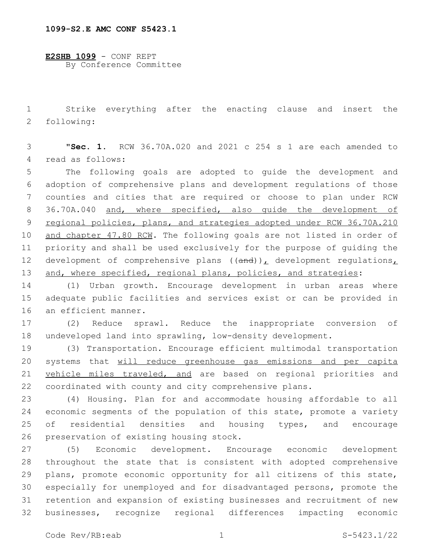**E2SHB 1099** - CONF REPT By Conference Committee

1 Strike everything after the enacting clause and insert the 2 following:

3 "**Sec. 1.** RCW 36.70A.020 and 2021 c 254 s 1 are each amended to 4 read as follows:

5 The following goals are adopted to guide the development and 6 adoption of comprehensive plans and development regulations of those 7 counties and cities that are required or choose to plan under RCW 8 36.70A.040 and, where specified, also guide the development of 9 regional policies, plans, and strategies adopted under RCW 36.70A.210 10 and chapter 47.80 RCW. The following goals are not listed in order of 11 priority and shall be used exclusively for the purpose of guiding the 12 development of comprehensive plans  $((and))_L$  development regulations, 13 and, where specified, regional plans, policies, and strategies:

14 (1) Urban growth. Encourage development in urban areas where 15 adequate public facilities and services exist or can be provided in 16 an efficient manner.

17 (2) Reduce sprawl. Reduce the inappropriate conversion of 18 undeveloped land into sprawling, low-density development.

19 (3) Transportation. Encourage efficient multimodal transportation 20 systems that will reduce greenhouse gas emissions and per capita 21 vehicle miles traveled, and are based on regional priorities and 22 coordinated with county and city comprehensive plans.

23 (4) Housing. Plan for and accommodate housing affordable to all 24 economic segments of the population of this state, promote a variety 25 of residential densities and housing types, and encourage 26 preservation of existing housing stock.

 (5) Economic development. Encourage economic development throughout the state that is consistent with adopted comprehensive plans, promote economic opportunity for all citizens of this state, especially for unemployed and for disadvantaged persons, promote the retention and expansion of existing businesses and recruitment of new businesses, recognize regional differences impacting economic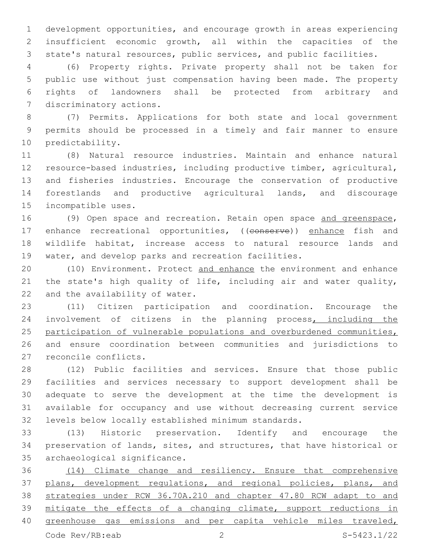development opportunities, and encourage growth in areas experiencing insufficient economic growth, all within the capacities of the state's natural resources, public services, and public facilities.

 (6) Property rights. Private property shall not be taken for public use without just compensation having been made. The property rights of landowners shall be protected from arbitrary and 7 discriminatory actions.

 (7) Permits. Applications for both state and local government permits should be processed in a timely and fair manner to ensure 10 predictability.

 (8) Natural resource industries. Maintain and enhance natural resource-based industries, including productive timber, agricultural, and fisheries industries. Encourage the conservation of productive forestlands and productive agricultural lands, and discourage 15 incompatible uses.

16 (9) Open space and recreation. Retain open space and greenspace, 17 enhance recreational opportunities, ((conserve)) enhance fish and wildlife habitat, increase access to natural resource lands and water, and develop parks and recreation facilities.

 (10) Environment. Protect and enhance the environment and enhance the state's high quality of life, including air and water quality, 22 and the availability of water.

 (11) Citizen participation and coordination. Encourage the involvement of citizens in the planning process, including the 25 participation of vulnerable populations and overburdened communities, and ensure coordination between communities and jurisdictions to 27 reconcile conflicts.

 (12) Public facilities and services. Ensure that those public facilities and services necessary to support development shall be adequate to serve the development at the time the development is available for occupancy and use without decreasing current service levels below locally established minimum standards.

 (13) Historic preservation. Identify and encourage the preservation of lands, sites, and structures, that have historical or 35 archaeological significance.

 (14) Climate change and resiliency. Ensure that comprehensive 37 plans, development regulations, and regional policies, plans, and strategies under RCW 36.70A.210 and chapter 47.80 RCW adapt to and mitigate the effects of a changing climate, support reductions in 40 greenhouse gas emissions and per capita vehicle miles traveled,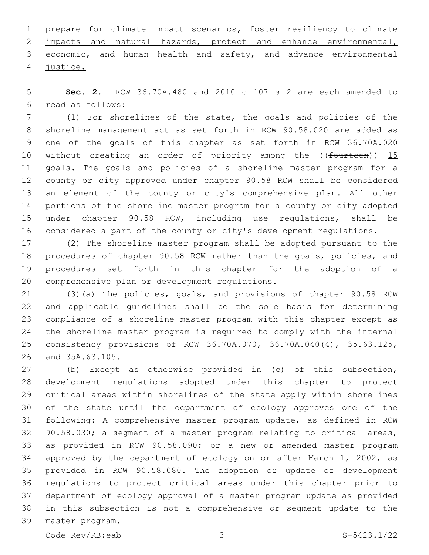|            |  |  |  | 1 prepare for climate impact scenarios, foster resiliency to climate |  |
|------------|--|--|--|----------------------------------------------------------------------|--|
|            |  |  |  | 2 impacts and natural hazards, protect and enhance environmental,    |  |
|            |  |  |  | 3 economic, and human health and safety, and advance environmental   |  |
| 4 justice. |  |  |  |                                                                      |  |

 **Sec. 2.** RCW 36.70A.480 and 2010 c 107 s 2 are each amended to read as follows:6

 (1) For shorelines of the state, the goals and policies of the shoreline management act as set forth in RCW 90.58.020 are added as one of the goals of this chapter as set forth in RCW 36.70A.020 10 without creating an order of priority among the ((fourteen)) 15 goals. The goals and policies of a shoreline master program for a county or city approved under chapter 90.58 RCW shall be considered 13 an element of the county or city's comprehensive plan. All other portions of the shoreline master program for a county or city adopted under chapter 90.58 RCW, including use regulations, shall be considered a part of the county or city's development regulations.

 (2) The shoreline master program shall be adopted pursuant to the procedures of chapter 90.58 RCW rather than the goals, policies, and procedures set forth in this chapter for the adoption of a 20 comprehensive plan or development regulations.

 (3)(a) The policies, goals, and provisions of chapter 90.58 RCW and applicable guidelines shall be the sole basis for determining compliance of a shoreline master program with this chapter except as the shoreline master program is required to comply with the internal consistency provisions of RCW 36.70A.070, 36.70A.040(4), 35.63.125, 26 and 35A.63.105.

 (b) Except as otherwise provided in (c) of this subsection, development regulations adopted under this chapter to protect critical areas within shorelines of the state apply within shorelines of the state until the department of ecology approves one of the following: A comprehensive master program update, as defined in RCW 90.58.030; a segment of a master program relating to critical areas, as provided in RCW 90.58.090; or a new or amended master program approved by the department of ecology on or after March 1, 2002, as provided in RCW 90.58.080. The adoption or update of development regulations to protect critical areas under this chapter prior to department of ecology approval of a master program update as provided in this subsection is not a comprehensive or segment update to the master program.39

Code Rev/RB:eab 3 S-5423.1/22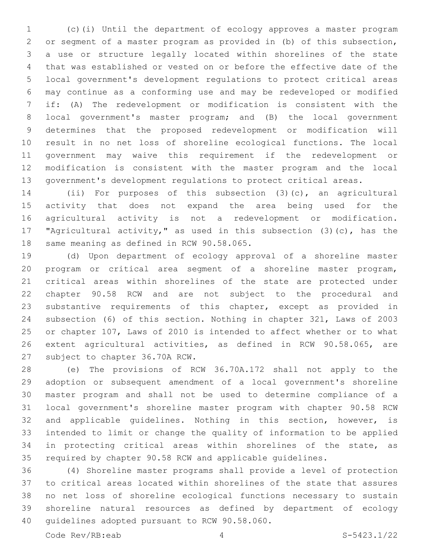(c)(i) Until the department of ecology approves a master program or segment of a master program as provided in (b) of this subsection, a use or structure legally located within shorelines of the state that was established or vested on or before the effective date of the local government's development regulations to protect critical areas may continue as a conforming use and may be redeveloped or modified if: (A) The redevelopment or modification is consistent with the local government's master program; and (B) the local government determines that the proposed redevelopment or modification will result in no net loss of shoreline ecological functions. The local government may waive this requirement if the redevelopment or modification is consistent with the master program and the local government's development regulations to protect critical areas.

 (ii) For purposes of this subsection (3)(c), an agricultural activity that does not expand the area being used for the agricultural activity is not a redevelopment or modification. "Agricultural activity," as used in this subsection (3)(c), has the 18 same meaning as defined in RCW 90.58.065.

 (d) Upon department of ecology approval of a shoreline master program or critical area segment of a shoreline master program, critical areas within shorelines of the state are protected under chapter 90.58 RCW and are not subject to the procedural and substantive requirements of this chapter, except as provided in subsection (6) of this section. Nothing in chapter 321, Laws of 2003 or chapter 107, Laws of 2010 is intended to affect whether or to what extent agricultural activities, as defined in RCW 90.58.065, are 27 subject to chapter 36.70A RCW.

 (e) The provisions of RCW 36.70A.172 shall not apply to the adoption or subsequent amendment of a local government's shoreline master program and shall not be used to determine compliance of a local government's shoreline master program with chapter 90.58 RCW and applicable guidelines. Nothing in this section, however, is intended to limit or change the quality of information to be applied in protecting critical areas within shorelines of the state, as required by chapter 90.58 RCW and applicable guidelines.

 (4) Shoreline master programs shall provide a level of protection to critical areas located within shorelines of the state that assures no net loss of shoreline ecological functions necessary to sustain shoreline natural resources as defined by department of ecology 40 quidelines adopted pursuant to RCW 90.58.060.

Code Rev/RB:eab 4 S-5423.1/22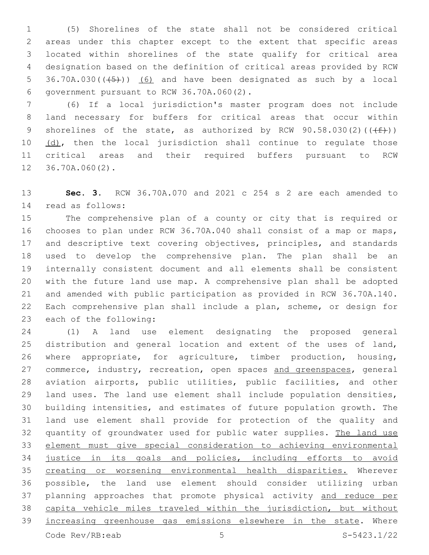(5) Shorelines of the state shall not be considered critical areas under this chapter except to the extent that specific areas located within shorelines of the state qualify for critical area designation based on the definition of critical areas provided by RCW 5 36.70A.030( $(\overline{+5})$ )  $\underline{6}$  and have been designated as such by a local 6 government pursuant to RCW  $36.70A.060(2)$ .

 (6) If a local jurisdiction's master program does not include land necessary for buffers for critical areas that occur within 9 shorelines of the state, as authorized by RCW  $90.58.030(2)((\text{+f}))$  $(d)$ , then the local jurisdiction shall continue to regulate those critical areas and their required buffers pursuant to RCW 12 36.70A.060(2).

 **Sec. 3.** RCW 36.70A.070 and 2021 c 254 s 2 are each amended to read as follows:14

 The comprehensive plan of a county or city that is required or chooses to plan under RCW 36.70A.040 shall consist of a map or maps, 17 and descriptive text covering objectives, principles, and standards used to develop the comprehensive plan. The plan shall be an internally consistent document and all elements shall be consistent with the future land use map. A comprehensive plan shall be adopted and amended with public participation as provided in RCW 36.70A.140. Each comprehensive plan shall include a plan, scheme, or design for 23 each of the following:

 (1) A land use element designating the proposed general 25 distribution and general location and extent of the uses of land, where appropriate, for agriculture, timber production, housing, 27 commerce, industry, recreation, open spaces and greenspaces, general aviation airports, public utilities, public facilities, and other land uses. The land use element shall include population densities, building intensities, and estimates of future population growth. The land use element shall provide for protection of the quality and 32 quantity of groundwater used for public water supplies. The land use element must give special consideration to achieving environmental justice in its goals and policies, including efforts to avoid creating or worsening environmental health disparities. Wherever possible, the land use element should consider utilizing urban 37 planning approaches that promote physical activity and reduce per capita vehicle miles traveled within the jurisdiction, but without increasing greenhouse gas emissions elsewhere in the state. Where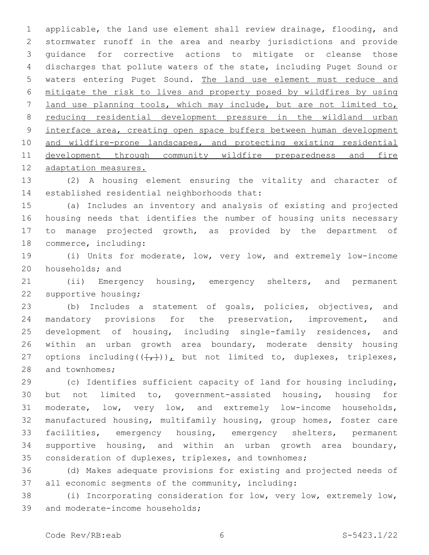applicable, the land use element shall review drainage, flooding, and stormwater runoff in the area and nearby jurisdictions and provide guidance for corrective actions to mitigate or cleanse those discharges that pollute waters of the state, including Puget Sound or waters entering Puget Sound. The land use element must reduce and mitigate the risk to lives and property posed by wildfires by using land use planning tools, which may include, but are not limited to, reducing residential development pressure in the wildland urban interface area, creating open space buffers between human development and wildfire-prone landscapes, and protecting existing residential development through community wildfire preparedness and fire adaptation measures.

 (2) A housing element ensuring the vitality and character of 14 established residential neighborhoods that:

 (a) Includes an inventory and analysis of existing and projected housing needs that identifies the number of housing units necessary to manage projected growth, as provided by the department of 18 commerce, including:

 (i) Units for moderate, low, very low, and extremely low-income 20 households; and

 (ii) Emergency housing, emergency shelters, and permanent 22 supportive housing;

 (b) Includes a statement of goals, policies, objectives, and mandatory provisions for the preservation, improvement, and development of housing, including single-family residences, and within an urban growth area boundary, moderate density housing 27 options including( $(\frac{1}{t},\frac{1}{t})$ ), but not limited to, duplexes, triplexes, 28 and townhomes;

 (c) Identifies sufficient capacity of land for housing including, but not limited to, government-assisted housing, housing for moderate, low, very low, and extremely low-income households, manufactured housing, multifamily housing, group homes, foster care facilities, emergency housing, emergency shelters, permanent supportive housing, and within an urban growth area boundary, consideration of duplexes, triplexes, and townhomes;

 (d) Makes adequate provisions for existing and projected needs of all economic segments of the community, including:

 (i) Incorporating consideration for low, very low, extremely low, 39 and moderate-income households;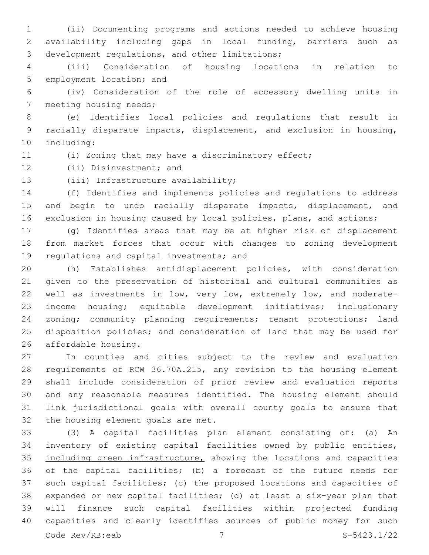(ii) Documenting programs and actions needed to achieve housing availability including gaps in local funding, barriers such as 3 development regulations, and other limitations;

 (iii) Consideration of housing locations in relation to 5 employment location; and

 (iv) Consideration of the role of accessory dwelling units in 7 meeting housing needs;

 (e) Identifies local policies and regulations that result in racially disparate impacts, displacement, and exclusion in housing, 10 including:

(i) Zoning that may have a discriminatory effect;

12 (ii) Disinvestment; and

13 (iii) Infrastructure availability;

 (f) Identifies and implements policies and regulations to address 15 and begin to undo racially disparate impacts, displacement, and exclusion in housing caused by local policies, plans, and actions;

 (g) Identifies areas that may be at higher risk of displacement from market forces that occur with changes to zoning development 19 regulations and capital investments; and

 (h) Establishes antidisplacement policies, with consideration given to the preservation of historical and cultural communities as well as investments in low, very low, extremely low, and moderate- income housing; equitable development initiatives; inclusionary 24 zoning; community planning requirements; tenant protections; land disposition policies; and consideration of land that may be used for 26 affordable housing.

 In counties and cities subject to the review and evaluation requirements of RCW 36.70A.215, any revision to the housing element shall include consideration of prior review and evaluation reports and any reasonable measures identified. The housing element should link jurisdictional goals with overall county goals to ensure that 32 the housing element goals are met.

 (3) A capital facilities plan element consisting of: (a) An inventory of existing capital facilities owned by public entities, 35 including green infrastructure, showing the locations and capacities of the capital facilities; (b) a forecast of the future needs for such capital facilities; (c) the proposed locations and capacities of expanded or new capital facilities; (d) at least a six-year plan that will finance such capital facilities within projected funding capacities and clearly identifies sources of public money for such Code Rev/RB:eab 7 S-5423.1/22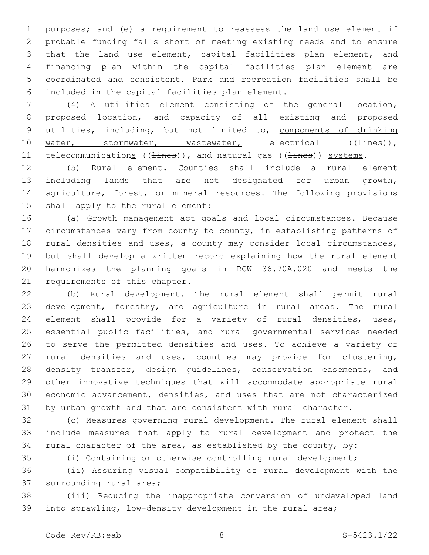purposes; and (e) a requirement to reassess the land use element if probable funding falls short of meeting existing needs and to ensure that the land use element, capital facilities plan element, and financing plan within the capital facilities plan element are coordinated and consistent. Park and recreation facilities shall be included in the capital facilities plan element.6

 (4) A utilities element consisting of the general location, proposed location, and capacity of all existing and proposed utilities, including, but not limited to, components of drinking 10 water, stormwater, wastewater, electrical ((lines)), 11 telecommunications ((<del>lines</del>)), and natural gas ((<del>lines</del>)) systems.

 (5) Rural element. Counties shall include a rural element including lands that are not designated for urban growth, agriculture, forest, or mineral resources. The following provisions 15 shall apply to the rural element:

 (a) Growth management act goals and local circumstances. Because circumstances vary from county to county, in establishing patterns of rural densities and uses, a county may consider local circumstances, but shall develop a written record explaining how the rural element harmonizes the planning goals in RCW 36.70A.020 and meets the 21 requirements of this chapter.

 (b) Rural development. The rural element shall permit rural development, forestry, and agriculture in rural areas. The rural element shall provide for a variety of rural densities, uses, essential public facilities, and rural governmental services needed to serve the permitted densities and uses. To achieve a variety of rural densities and uses, counties may provide for clustering, 28 density transfer, design guidelines, conservation easements, and other innovative techniques that will accommodate appropriate rural economic advancement, densities, and uses that are not characterized by urban growth and that are consistent with rural character.

 (c) Measures governing rural development. The rural element shall include measures that apply to rural development and protect the rural character of the area, as established by the county, by:

(i) Containing or otherwise controlling rural development;

 (ii) Assuring visual compatibility of rural development with the 37 surrounding rural area;

 (iii) Reducing the inappropriate conversion of undeveloped land into sprawling, low-density development in the rural area;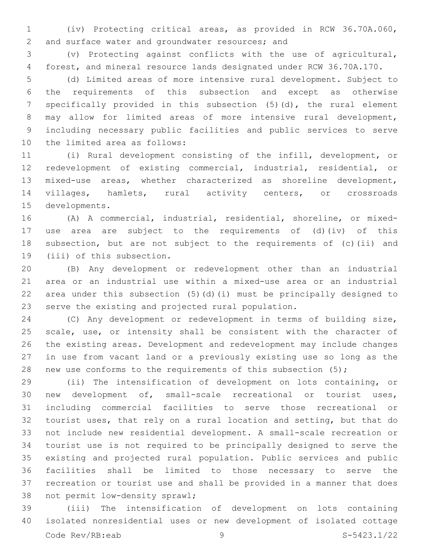(iv) Protecting critical areas, as provided in RCW 36.70A.060, 2 and surface water and groundwater resources; and

 (v) Protecting against conflicts with the use of agricultural, forest, and mineral resource lands designated under RCW 36.70A.170.

 (d) Limited areas of more intensive rural development. Subject to the requirements of this subsection and except as otherwise 7 specifically provided in this subsection (5)(d), the rural element may allow for limited areas of more intensive rural development, including necessary public facilities and public services to serve 10 the limited area as follows:

 (i) Rural development consisting of the infill, development, or redevelopment of existing commercial, industrial, residential, or mixed-use areas, whether characterized as shoreline development, villages, hamlets, rural activity centers, or crossroads 15 developments.

 (A) A commercial, industrial, residential, shoreline, or mixed- use area are subject to the requirements of (d)(iv) of this subsection, but are not subject to the requirements of (c)(ii) and 19 (iii) of this subsection.

 (B) Any development or redevelopment other than an industrial area or an industrial use within a mixed-use area or an industrial area under this subsection (5)(d)(i) must be principally designed to serve the existing and projected rural population.

 (C) Any development or redevelopment in terms of building size, 25 scale, use, or intensity shall be consistent with the character of the existing areas. Development and redevelopment may include changes in use from vacant land or a previously existing use so long as the 28 new use conforms to the requirements of this subsection  $(5)$ ;

 (ii) The intensification of development on lots containing, or new development of, small-scale recreational or tourist uses, including commercial facilities to serve those recreational or tourist uses, that rely on a rural location and setting, but that do not include new residential development. A small-scale recreation or tourist use is not required to be principally designed to serve the existing and projected rural population. Public services and public facilities shall be limited to those necessary to serve the recreation or tourist use and shall be provided in a manner that does 38 not permit low-density sprawl;

 (iii) The intensification of development on lots containing isolated nonresidential uses or new development of isolated cottage Code Rev/RB:eab  $5-5423.1/22$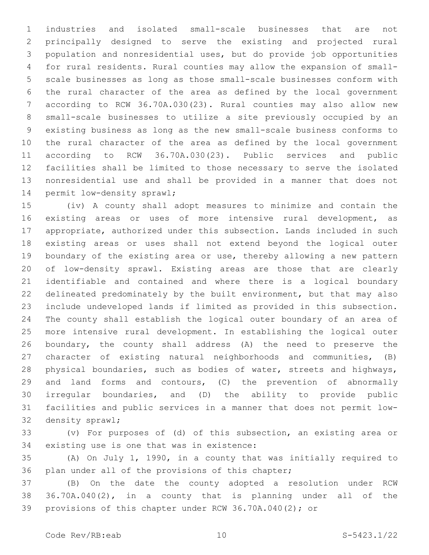industries and isolated small-scale businesses that are not principally designed to serve the existing and projected rural population and nonresidential uses, but do provide job opportunities for rural residents. Rural counties may allow the expansion of small- scale businesses as long as those small-scale businesses conform with the rural character of the area as defined by the local government according to RCW 36.70A.030(23). Rural counties may also allow new small-scale businesses to utilize a site previously occupied by an existing business as long as the new small-scale business conforms to the rural character of the area as defined by the local government according to RCW 36.70A.030(23). Public services and public facilities shall be limited to those necessary to serve the isolated nonresidential use and shall be provided in a manner that does not 14 permit low-density sprawl;

 (iv) A county shall adopt measures to minimize and contain the existing areas or uses of more intensive rural development, as appropriate, authorized under this subsection. Lands included in such existing areas or uses shall not extend beyond the logical outer boundary of the existing area or use, thereby allowing a new pattern of low-density sprawl. Existing areas are those that are clearly identifiable and contained and where there is a logical boundary delineated predominately by the built environment, but that may also include undeveloped lands if limited as provided in this subsection. The county shall establish the logical outer boundary of an area of more intensive rural development. In establishing the logical outer boundary, the county shall address (A) the need to preserve the character of existing natural neighborhoods and communities, (B) physical boundaries, such as bodies of water, streets and highways, and land forms and contours, (C) the prevention of abnormally irregular boundaries, and (D) the ability to provide public facilities and public services in a manner that does not permit low-32 density sprawl;

 (v) For purposes of (d) of this subsection, an existing area or 34 existing use is one that was in existence:

 (A) On July 1, 1990, in a county that was initially required to 36 plan under all of the provisions of this chapter;

 (B) On the date the county adopted a resolution under RCW 36.70A.040(2), in a county that is planning under all of the provisions of this chapter under RCW 36.70A.040(2); or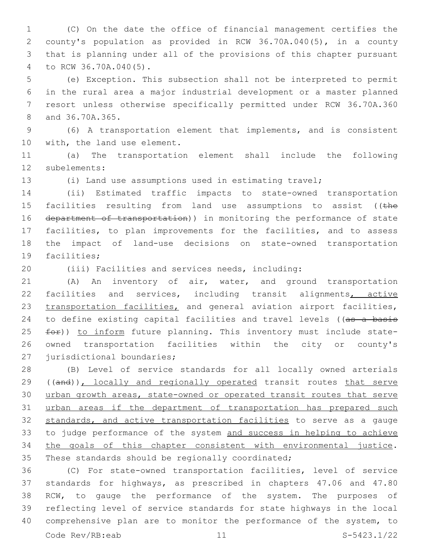(C) On the date the office of financial management certifies the county's population as provided in RCW 36.70A.040(5), in a county that is planning under all of the provisions of this chapter pursuant to RCW 36.70A.040(5).4

 (e) Exception. This subsection shall not be interpreted to permit in the rural area a major industrial development or a master planned resort unless otherwise specifically permitted under RCW 36.70A.360 8 and 36.70A.365.

 (6) A transportation element that implements, and is consistent 10 with, the land use element.

 (a) The transportation element shall include the following 12 subelements:

(i) Land use assumptions used in estimating travel;

 (ii) Estimated traffic impacts to state-owned transportation 15 facilities resulting from land use assumptions to assist ((the 16 department of transportation)) in monitoring the performance of state facilities, to plan improvements for the facilities, and to assess the impact of land-use decisions on state-owned transportation 19 facilities:

(iii) Facilities and services needs, including:

 (A) An inventory of air, water, and ground transportation 22 facilities and services, including transit alignments, active transportation facilities, and general aviation airport facilities, 24 to define existing capital facilities and travel levels ((as a basis 25 for)) to inform future planning. This inventory must include state- owned transportation facilities within the city or county's 27 jurisdictional boundaries;

 (B) Level of service standards for all locally owned arterials 29 ((and)), locally and regionally operated transit routes that serve 30 urban growth areas, state-owned or operated transit routes that serve urban areas if the department of transportation has prepared such standards, and active transportation facilities to serve as a gauge to judge performance of the system and success in helping to achieve the goals of this chapter consistent with environmental justice. 35 These standards should be regionally coordinated;

 (C) For state-owned transportation facilities, level of service standards for highways, as prescribed in chapters 47.06 and 47.80 RCW, to gauge the performance of the system. The purposes of reflecting level of service standards for state highways in the local comprehensive plan are to monitor the performance of the system, to Code Rev/RB:eab 11 S-5423.1/22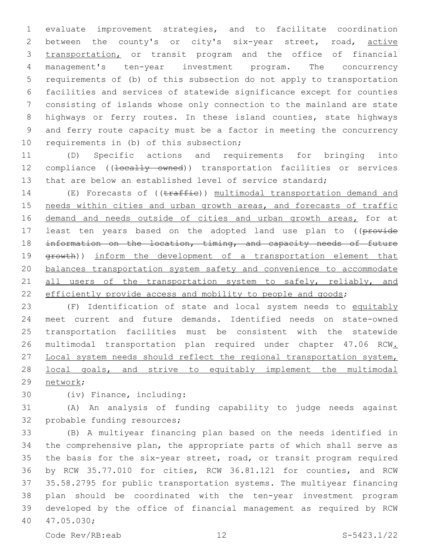evaluate improvement strategies, and to facilitate coordination 2 between the county's or city's six-year street, road, active 3 transportation, or transit program and the office of financial management's ten-year investment program. The concurrency requirements of (b) of this subsection do not apply to transportation facilities and services of statewide significance except for counties consisting of islands whose only connection to the mainland are state highways or ferry routes. In these island counties, state highways and ferry route capacity must be a factor in meeting the concurrency 10 requirements in (b) of this subsection;

11 (D) Specific actions and requirements for bringing into 12 compliance ((locally owned)) transportation facilities or services 13 that are below an established level of service standard;

14 (E) Forecasts of ((traffie)) multimodal transportation demand and 15 needs within cities and urban growth areas, and forecasts of traffic 16 demand and needs outside of cities and urban growth areas, for at 17 least ten years based on the adopted land use plan to ((provide 18 information on the location, timing, and capacity needs of future 19 growth)) inform the development of a transportation element that 20 balances transportation system safety and convenience to accommodate 21 all users of the transportation system to safely, reliably, and 22 efficiently provide access and mobility to people and goods;

23 (F) Identification of state and local system needs to equitably meet current and future demands. Identified needs on state-owned transportation facilities must be consistent with the statewide multimodal transportation plan required under chapter 47.06 RCW. Local system needs should reflect the regional transportation system, local goals, and strive to equitably implement the multimodal

29 network;

(iv) Finance, including:30

31 (A) An analysis of funding capability to judge needs against 32 probable funding resources;

 (B) A multiyear financing plan based on the needs identified in the comprehensive plan, the appropriate parts of which shall serve as the basis for the six-year street, road, or transit program required by RCW 35.77.010 for cities, RCW 36.81.121 for counties, and RCW 35.58.2795 for public transportation systems. The multiyear financing plan should be coordinated with the ten-year investment program developed by the office of financial management as required by RCW 47.05.030;40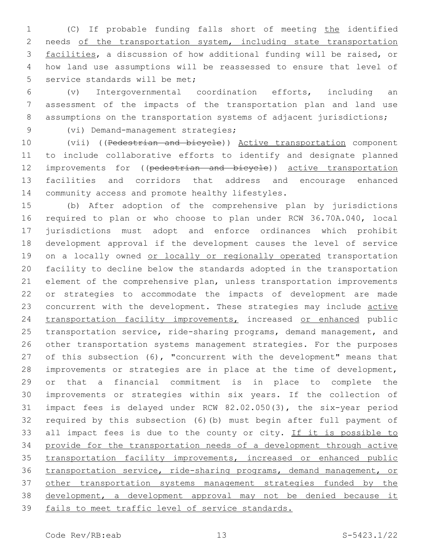(C) If probable funding falls short of meeting the identified needs of the transportation system, including state transportation facilities, a discussion of how additional funding will be raised, or how land use assumptions will be reassessed to ensure that level of 5 service standards will be met;

 (v) Intergovernmental coordination efforts, including an assessment of the impacts of the transportation plan and land use 8 assumptions on the transportation systems of adjacent jurisdictions;

9 (vi) Demand-management strategies;

10 (vii) ((Pedestrian and bicycle)) Active transportation component to include collaborative efforts to identify and designate planned 12 improvements for ((pedestrian and bicycle)) active transportation facilities and corridors that address and encourage enhanced 14 community access and promote healthy lifestyles.

 (b) After adoption of the comprehensive plan by jurisdictions required to plan or who choose to plan under RCW 36.70A.040, local jurisdictions must adopt and enforce ordinances which prohibit development approval if the development causes the level of service 19 on a locally owned or locally or regionally operated transportation facility to decline below the standards adopted in the transportation element of the comprehensive plan, unless transportation improvements or strategies to accommodate the impacts of development are made 23 concurrent with the development. These strategies may include active 24 transportation facility improvements, increased or enhanced public transportation service, ride-sharing programs, demand management, and other transportation systems management strategies. For the purposes of this subsection (6), "concurrent with the development" means that improvements or strategies are in place at the time of development, or that a financial commitment is in place to complete the improvements or strategies within six years. If the collection of impact fees is delayed under RCW 82.02.050(3), the six-year period required by this subsection (6)(b) must begin after full payment of 33 all impact fees is due to the county or city. If it is possible to provide for the transportation needs of a development through active 35 transportation facility improvements, increased or enhanced public transportation service, ride-sharing programs, demand management, or other transportation systems management strategies funded by the development, a development approval may not be denied because it fails to meet traffic level of service standards.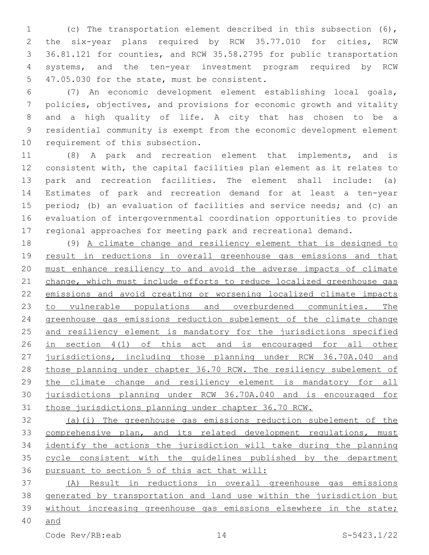(c) The transportation element described in this subsection (6), the six-year plans required by RCW 35.77.010 for cities, RCW 36.81.121 for counties, and RCW 35.58.2795 for public transportation systems, and the ten-year investment program required by RCW 5 47.05.030 for the state, must be consistent.

 (7) An economic development element establishing local goals, policies, objectives, and provisions for economic growth and vitality and a high quality of life. A city that has chosen to be a residential community is exempt from the economic development element 10 requirement of this subsection.

 (8) A park and recreation element that implements, and is consistent with, the capital facilities plan element as it relates to park and recreation facilities. The element shall include: (a) Estimates of park and recreation demand for at least a ten-year period; (b) an evaluation of facilities and service needs; and (c) an evaluation of intergovernmental coordination opportunities to provide regional approaches for meeting park and recreational demand.

 (9) A climate change and resiliency element that is designed to 19 result in reductions in overall greenhouse gas emissions and that must enhance resiliency to and avoid the adverse impacts of climate change, which must include efforts to reduce localized greenhouse gas emissions and avoid creating or worsening localized climate impacts 23 to vulnerable populations and overburdened communities. The greenhouse gas emissions reduction subelement of the climate change and resiliency element is mandatory for the jurisdictions specified in section 4(1) of this act and is encouraged for all other jurisdictions, including those planning under RCW 36.70A.040 and those planning under chapter 36.70 RCW. The resiliency subelement of the climate change and resiliency element is mandatory for all jurisdictions planning under RCW 36.70A.040 and is encouraged for those jurisdictions planning under chapter 36.70 RCW.

 (a)(i) The greenhouse gas emissions reduction subelement of the 33 comprehensive plan, and its related development regulations, must identify the actions the jurisdiction will take during the planning 35 cycle consistent with the quidelines published by the department pursuant to section 5 of this act that will:

 (A) Result in reductions in overall greenhouse gas emissions generated by transportation and land use within the jurisdiction but without increasing greenhouse gas emissions elsewhere in the state;

and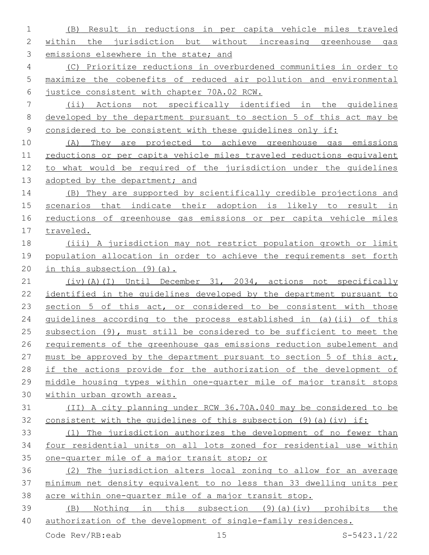(B) Result in reductions in per capita vehicle miles traveled within the jurisdiction but without increasing greenhouse gas 3 emissions elsewhere in the state; and

 (C) Prioritize reductions in overburdened communities in order to maximize the cobenefits of reduced air pollution and environmental justice consistent with chapter 70A.02 RCW.

 (ii) Actions not specifically identified in the guidelines developed by the department pursuant to section 5 of this act may be considered to be consistent with these guidelines only if:

 (A) They are projected to achieve greenhouse gas emissions reductions or per capita vehicle miles traveled reductions equivalent to what would be required of the jurisdiction under the guidelines 13 adopted by the department; and

 (B) They are supported by scientifically credible projections and scenarios that indicate their adoption is likely to result in 16 reductions of greenhouse gas emissions or per capita vehicle miles traveled.

 (iii) A jurisdiction may not restrict population growth or limit population allocation in order to achieve the requirements set forth in this subsection (9)(a).

 (iv)(A)(I) Until December 31, 2034, actions not specifically identified in the guidelines developed by the department pursuant to 23 section 5 of this act, or considered to be consistent with those 24 guidelines according to the process established in (a)(ii) of this subsection (9), must still be considered to be sufficient to meet the requirements of the greenhouse gas emissions reduction subelement and must be approved by the department pursuant to section 5 of this act, if the actions provide for the authorization of the development of middle housing types within one-quarter mile of major transit stops within urban growth areas.

## (II) A city planning under RCW 36.70A.040 may be considered to be 32 consistent with the quidelines of this subsection  $(9)$  (a)(iv) if:

 (1) The jurisdiction authorizes the development of no fewer than four residential units on all lots zoned for residential use within one-quarter mile of a major transit stop; or

 (2) The jurisdiction alters local zoning to allow for an average minimum net density equivalent to no less than 33 dwelling units per acre within one-quarter mile of a major transit stop.

 (B) Nothing in this subsection (9)(a)(iv) prohibits the authorization of the development of single-family residences.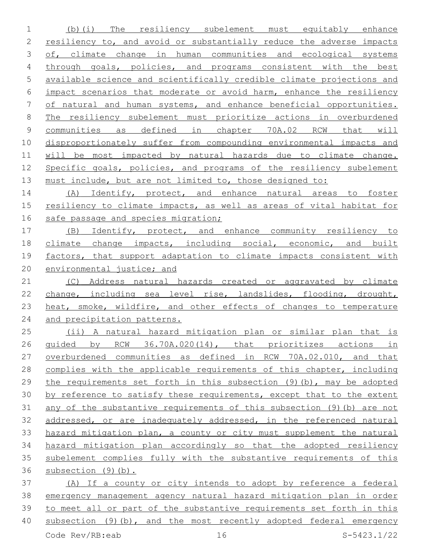(b)(i) The resiliency subelement must equitably enhance resiliency to, and avoid or substantially reduce the adverse impacts 3 of, climate change in human communities and ecological systems through goals, policies, and programs consistent with the best available science and scientifically credible climate projections and impact scenarios that moderate or avoid harm, enhance the resiliency of natural and human systems, and enhance beneficial opportunities. The resiliency subelement must prioritize actions in overburdened communities as defined in chapter 70A.02 RCW that will disproportionately suffer from compounding environmental impacts and will be most impacted by natural hazards due to climate change. Specific goals, policies, and programs of the resiliency subelement 13 must include, but are not limited to, those designed to:

 (A) Identify, protect, and enhance natural areas to foster resiliency to climate impacts, as well as areas of vital habitat for 16 safe passage and species migration;

 (B) Identify, protect, and enhance community resiliency to climate change impacts, including social, economic, and built factors, that support adaptation to climate impacts consistent with environmental justice; and

 (C) Address natural hazards created or aggravated by climate change, including sea level rise, landslides, flooding, drought, heat, smoke, wildfire, and other effects of changes to temperature and precipitation patterns.

 (ii) A natural hazard mitigation plan or similar plan that is guided by RCW 36.70A.020(14), that prioritizes actions in overburdened communities as defined in RCW 70A.02.010, and that complies with the applicable requirements of this chapter, including the requirements set forth in this subsection (9)(b), may be adopted 30 by reference to satisfy these requirements, except that to the extent any of the substantive requirements of this subsection (9)(b) are not addressed, or are inadequately addressed, in the referenced natural hazard mitigation plan, a county or city must supplement the natural hazard mitigation plan accordingly so that the adopted resiliency subelement complies fully with the substantive requirements of this subsection (9)(b).

 (A) If a county or city intends to adopt by reference a federal emergency management agency natural hazard mitigation plan in order to meet all or part of the substantive requirements set forth in this subsection (9)(b), and the most recently adopted federal emergency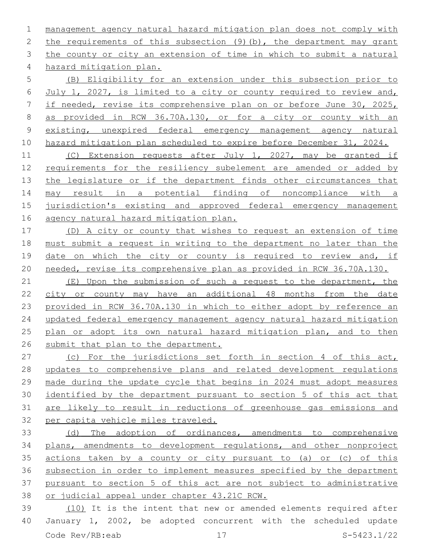management agency natural hazard mitigation plan does not comply with 2 the requirements of this subsection (9)(b), the department may grant 3 the county or city an extension of time in which to submit a natural 4 hazard mitigation plan.

 (B) Eligibility for an extension under this subsection prior to July 1, 2027, is limited to a city or county required to review and, if needed, revise its comprehensive plan on or before June 30, 2025, as provided in RCW 36.70A.130, or for a city or county with an existing, unexpired federal emergency management agency natural hazard mitigation plan scheduled to expire before December 31, 2024.

 (C) Extension requests after July 1, 2027, may be granted if requirements for the resiliency subelement are amended or added by 13 the legislature or if the department finds other circumstances that may result in a potential finding of noncompliance with a jurisdiction's existing and approved federal emergency management agency natural hazard mitigation plan.

 (D) A city or county that wishes to request an extension of time must submit a request in writing to the department no later than the date on which the city or county is required to review and, if needed, revise its comprehensive plan as provided in RCW 36.70A.130.

 (E) Upon the submission of such a request to the department, the city or county may have an additional 48 months from the date provided in RCW 36.70A.130 in which to either adopt by reference an updated federal emergency management agency natural hazard mitigation plan or adopt its own natural hazard mitigation plan, and to then submit that plan to the department.

 (c) For the jurisdictions set forth in section 4 of this act, updates to comprehensive plans and related development regulations made during the update cycle that begins in 2024 must adopt measures identified by the department pursuant to section 5 of this act that are likely to result in reductions of greenhouse gas emissions and per capita vehicle miles traveled.

 (d) The adoption of ordinances, amendments to comprehensive plans, amendments to development regulations, and other nonproject actions taken by a county or city pursuant to (a) or (c) of this subsection in order to implement measures specified by the department pursuant to section 5 of this act are not subject to administrative or judicial appeal under chapter 43.21C RCW.

39 (10) It is the intent that new or amended elements required after January 1, 2002, be adopted concurrent with the scheduled update Code Rev/RB:eab 17 S-5423.1/22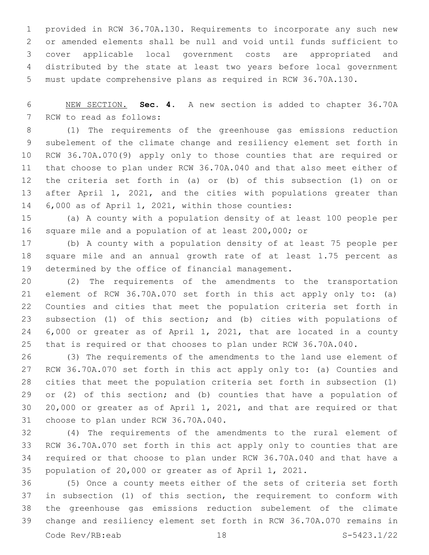provided in RCW 36.70A.130. Requirements to incorporate any such new or amended elements shall be null and void until funds sufficient to cover applicable local government costs are appropriated and distributed by the state at least two years before local government must update comprehensive plans as required in RCW 36.70A.130.

 NEW SECTION. **Sec. 4.** A new section is added to chapter 36.70A 7 RCW to read as follows:

 (1) The requirements of the greenhouse gas emissions reduction subelement of the climate change and resiliency element set forth in RCW 36.70A.070(9) apply only to those counties that are required or that choose to plan under RCW 36.70A.040 and that also meet either of the criteria set forth in (a) or (b) of this subsection (1) on or after April 1, 2021, and the cities with populations greater than 14 6,000 as of April 1, 2021, within those counties:

 (a) A county with a population density of at least 100 people per square mile and a population of at least 200,000; or

 (b) A county with a population density of at least 75 people per square mile and an annual growth rate of at least 1.75 percent as 19 determined by the office of financial management.

 (2) The requirements of the amendments to the transportation element of RCW 36.70A.070 set forth in this act apply only to: (a) Counties and cities that meet the population criteria set forth in subsection (1) of this section; and (b) cities with populations of 6,000 or greater as of April 1, 2021, that are located in a county that is required or that chooses to plan under RCW 36.70A.040.

 (3) The requirements of the amendments to the land use element of RCW 36.70A.070 set forth in this act apply only to: (a) Counties and cities that meet the population criteria set forth in subsection (1) or (2) of this section; and (b) counties that have a population of 20,000 or greater as of April 1, 2021, and that are required or that 31 choose to plan under RCW 36.70A.040.

 (4) The requirements of the amendments to the rural element of RCW 36.70A.070 set forth in this act apply only to counties that are required or that choose to plan under RCW 36.70A.040 and that have a population of 20,000 or greater as of April 1, 2021.

 (5) Once a county meets either of the sets of criteria set forth in subsection (1) of this section, the requirement to conform with the greenhouse gas emissions reduction subelement of the climate change and resiliency element set forth in RCW 36.70A.070 remains in Code Rev/RB:eab 18 S-5423.1/22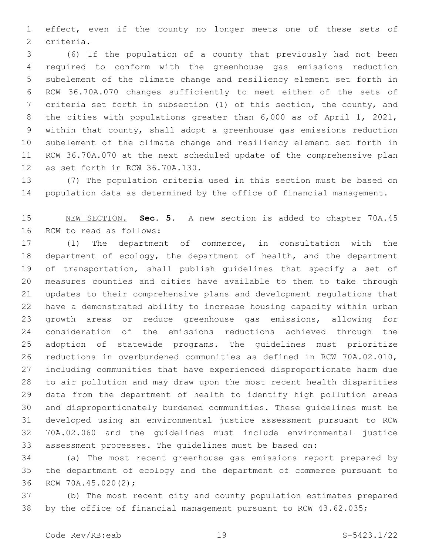effect, even if the county no longer meets one of these sets of 2 criteria.

 (6) If the population of a county that previously had not been required to conform with the greenhouse gas emissions reduction subelement of the climate change and resiliency element set forth in RCW 36.70A.070 changes sufficiently to meet either of the sets of criteria set forth in subsection (1) of this section, the county, and the cities with populations greater than 6,000 as of April 1, 2021, within that county, shall adopt a greenhouse gas emissions reduction subelement of the climate change and resiliency element set forth in RCW 36.70A.070 at the next scheduled update of the comprehensive plan 12 as set forth in RCW 36.70A.130.

 (7) The population criteria used in this section must be based on population data as determined by the office of financial management.

 NEW SECTION. **Sec. 5.** A new section is added to chapter 70A.45 16 RCW to read as follows:

 (1) The department of commerce, in consultation with the department of ecology, the department of health, and the department of transportation, shall publish guidelines that specify a set of measures counties and cities have available to them to take through updates to their comprehensive plans and development regulations that have a demonstrated ability to increase housing capacity within urban growth areas or reduce greenhouse gas emissions, allowing for consideration of the emissions reductions achieved through the adoption of statewide programs. The guidelines must prioritize reductions in overburdened communities as defined in RCW 70A.02.010, including communities that have experienced disproportionate harm due to air pollution and may draw upon the most recent health disparities data from the department of health to identify high pollution areas and disproportionately burdened communities. These guidelines must be developed using an environmental justice assessment pursuant to RCW 70A.02.060 and the guidelines must include environmental justice assessment processes. The guidelines must be based on:

 (a) The most recent greenhouse gas emissions report prepared by the department of ecology and the department of commerce pursuant to 36 RCW 70A.45.020(2);

 (b) The most recent city and county population estimates prepared by the office of financial management pursuant to RCW 43.62.035;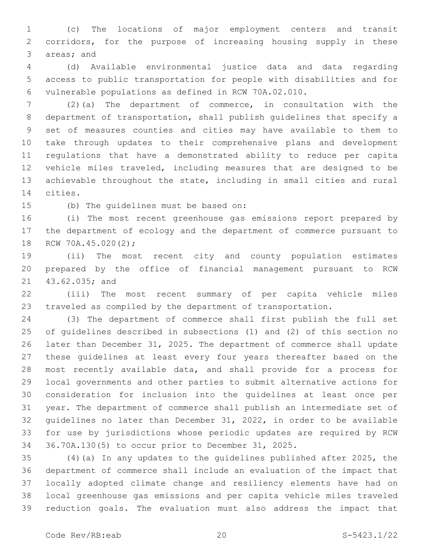(c) The locations of major employment centers and transit corridors, for the purpose of increasing housing supply in these 3 areas; and

 (d) Available environmental justice data and data regarding access to public transportation for people with disabilities and for vulnerable populations as defined in RCW 70A.02.010.

 (2)(a) The department of commerce, in consultation with the department of transportation, shall publish guidelines that specify a set of measures counties and cities may have available to them to take through updates to their comprehensive plans and development regulations that have a demonstrated ability to reduce per capita vehicle miles traveled, including measures that are designed to be achievable throughout the state, including in small cities and rural 14 cities.

15 (b) The quidelines must be based on:

 (i) The most recent greenhouse gas emissions report prepared by the department of ecology and the department of commerce pursuant to 18 RCW 70A.45.020(2);

 (ii) The most recent city and county population estimates prepared by the office of financial management pursuant to RCW 21 43.62.035; and

 (iii) The most recent summary of per capita vehicle miles traveled as compiled by the department of transportation.

 (3) The department of commerce shall first publish the full set of guidelines described in subsections (1) and (2) of this section no later than December 31, 2025. The department of commerce shall update these guidelines at least every four years thereafter based on the most recently available data, and shall provide for a process for local governments and other parties to submit alternative actions for consideration for inclusion into the guidelines at least once per year. The department of commerce shall publish an intermediate set of guidelines no later than December 31, 2022, in order to be available for use by jurisdictions whose periodic updates are required by RCW 36.70A.130(5) to occur prior to December 31, 2025.

 (4)(a) In any updates to the guidelines published after 2025, the department of commerce shall include an evaluation of the impact that locally adopted climate change and resiliency elements have had on local greenhouse gas emissions and per capita vehicle miles traveled reduction goals. The evaluation must also address the impact that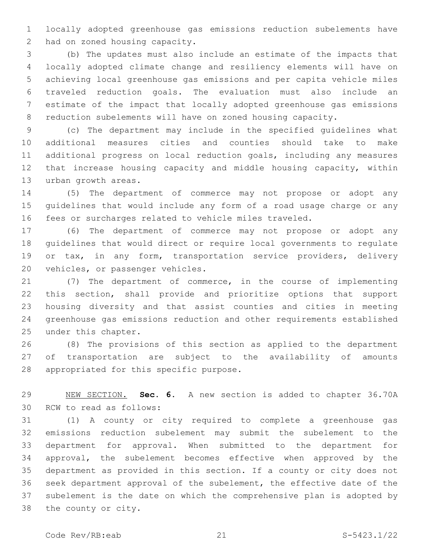locally adopted greenhouse gas emissions reduction subelements have 2 had on zoned housing capacity.

 (b) The updates must also include an estimate of the impacts that locally adopted climate change and resiliency elements will have on achieving local greenhouse gas emissions and per capita vehicle miles traveled reduction goals. The evaluation must also include an estimate of the impact that locally adopted greenhouse gas emissions reduction subelements will have on zoned housing capacity.

 (c) The department may include in the specified guidelines what additional measures cities and counties should take to make additional progress on local reduction goals, including any measures that increase housing capacity and middle housing capacity, within 13 urban growth areas.

 (5) The department of commerce may not propose or adopt any guidelines that would include any form of a road usage charge or any fees or surcharges related to vehicle miles traveled.

 (6) The department of commerce may not propose or adopt any guidelines that would direct or require local governments to regulate or tax, in any form, transportation service providers, delivery 20 vehicles, or passenger vehicles.

 (7) The department of commerce, in the course of implementing this section, shall provide and prioritize options that support housing diversity and that assist counties and cities in meeting greenhouse gas emissions reduction and other requirements established 25 under this chapter.

 (8) The provisions of this section as applied to the department of transportation are subject to the availability of amounts 28 appropriated for this specific purpose.

 NEW SECTION. **Sec. 6.** A new section is added to chapter 36.70A 30 RCW to read as follows:

 (1) A county or city required to complete a greenhouse gas emissions reduction subelement may submit the subelement to the department for approval. When submitted to the department for approval, the subelement becomes effective when approved by the department as provided in this section. If a county or city does not seek department approval of the subelement, the effective date of the subelement is the date on which the comprehensive plan is adopted by 38 the county or city.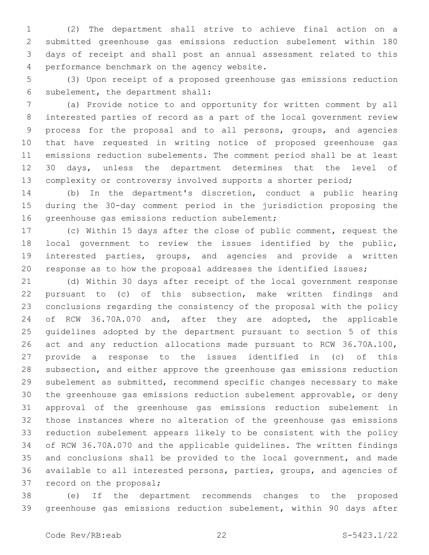(2) The department shall strive to achieve final action on a submitted greenhouse gas emissions reduction subelement within 180 days of receipt and shall post an annual assessment related to this 4 performance benchmark on the agency website.

 (3) Upon receipt of a proposed greenhouse gas emissions reduction 6 subelement, the department shall:

 (a) Provide notice to and opportunity for written comment by all interested parties of record as a part of the local government review process for the proposal and to all persons, groups, and agencies that have requested in writing notice of proposed greenhouse gas emissions reduction subelements. The comment period shall be at least 30 days, unless the department determines that the level of 13 complexity or controversy involved supports a shorter period;

 (b) In the department's discretion, conduct a public hearing during the 30-day comment period in the jurisdiction proposing the 16 greenhouse gas emissions reduction subelement;

 (c) Within 15 days after the close of public comment, request the local government to review the issues identified by the public, interested parties, groups, and agencies and provide a written response as to how the proposal addresses the identified issues;

 (d) Within 30 days after receipt of the local government response pursuant to (c) of this subsection, make written findings and conclusions regarding the consistency of the proposal with the policy of RCW 36.70A.070 and, after they are adopted, the applicable guidelines adopted by the department pursuant to section 5 of this act and any reduction allocations made pursuant to RCW 36.70A.100, provide a response to the issues identified in (c) of this subsection, and either approve the greenhouse gas emissions reduction subelement as submitted, recommend specific changes necessary to make the greenhouse gas emissions reduction subelement approvable, or deny approval of the greenhouse gas emissions reduction subelement in those instances where no alteration of the greenhouse gas emissions reduction subelement appears likely to be consistent with the policy of RCW 36.70A.070 and the applicable guidelines. The written findings and conclusions shall be provided to the local government, and made available to all interested persons, parties, groups, and agencies of 37 record on the proposal;

 (e) If the department recommends changes to the proposed greenhouse gas emissions reduction subelement, within 90 days after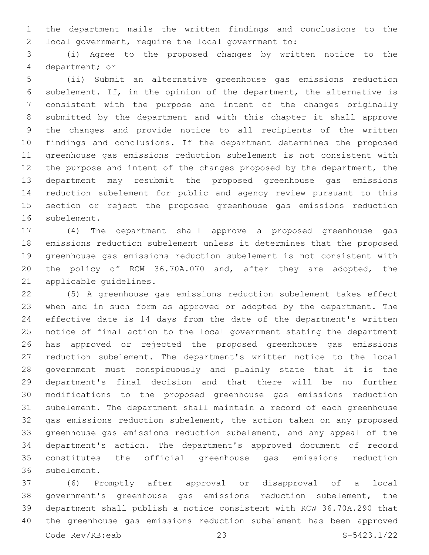the department mails the written findings and conclusions to the 2 local government, require the local government to:

 (i) Agree to the proposed changes by written notice to the 4 department; or

 (ii) Submit an alternative greenhouse gas emissions reduction subelement. If, in the opinion of the department, the alternative is consistent with the purpose and intent of the changes originally submitted by the department and with this chapter it shall approve the changes and provide notice to all recipients of the written findings and conclusions. If the department determines the proposed greenhouse gas emissions reduction subelement is not consistent with the purpose and intent of the changes proposed by the department, the department may resubmit the proposed greenhouse gas emissions reduction subelement for public and agency review pursuant to this section or reject the proposed greenhouse gas emissions reduction 16 subelement.

 (4) The department shall approve a proposed greenhouse gas emissions reduction subelement unless it determines that the proposed greenhouse gas emissions reduction subelement is not consistent with the policy of RCW 36.70A.070 and, after they are adopted, the 21 applicable quidelines.

 (5) A greenhouse gas emissions reduction subelement takes effect when and in such form as approved or adopted by the department. The effective date is 14 days from the date of the department's written notice of final action to the local government stating the department has approved or rejected the proposed greenhouse gas emissions reduction subelement. The department's written notice to the local government must conspicuously and plainly state that it is the department's final decision and that there will be no further modifications to the proposed greenhouse gas emissions reduction subelement. The department shall maintain a record of each greenhouse gas emissions reduction subelement, the action taken on any proposed greenhouse gas emissions reduction subelement, and any appeal of the department's action. The department's approved document of record constitutes the official greenhouse gas emissions reduction 36 subelement.

 (6) Promptly after approval or disapproval of a local government's greenhouse gas emissions reduction subelement, the department shall publish a notice consistent with RCW 36.70A.290 that the greenhouse gas emissions reduction subelement has been approved Code Rev/RB:eab 23 S-5423.1/22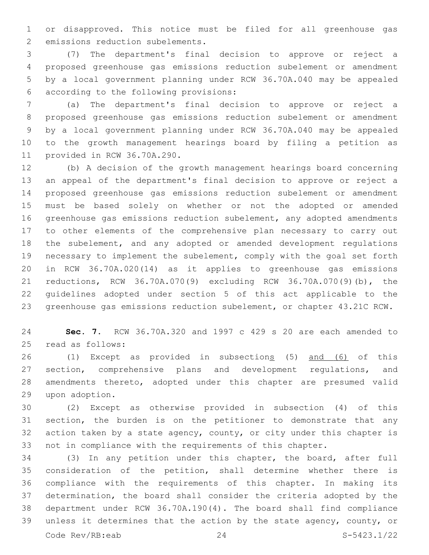or disapproved. This notice must be filed for all greenhouse gas 2 emissions reduction subelements.

 (7) The department's final decision to approve or reject a proposed greenhouse gas emissions reduction subelement or amendment by a local government planning under RCW 36.70A.040 may be appealed according to the following provisions:6

 (a) The department's final decision to approve or reject a proposed greenhouse gas emissions reduction subelement or amendment by a local government planning under RCW 36.70A.040 may be appealed to the growth management hearings board by filing a petition as 11 provided in RCW 36.70A.290.

 (b) A decision of the growth management hearings board concerning an appeal of the department's final decision to approve or reject a proposed greenhouse gas emissions reduction subelement or amendment must be based solely on whether or not the adopted or amended greenhouse gas emissions reduction subelement, any adopted amendments to other elements of the comprehensive plan necessary to carry out the subelement, and any adopted or amended development regulations necessary to implement the subelement, comply with the goal set forth in RCW 36.70A.020(14) as it applies to greenhouse gas emissions reductions, RCW 36.70A.070(9) excluding RCW 36.70A.070(9)(b), the guidelines adopted under section 5 of this act applicable to the greenhouse gas emissions reduction subelement, or chapter 43.21C RCW.

 **Sec. 7.** RCW 36.70A.320 and 1997 c 429 s 20 are each amended to 25 read as follows:

26 (1) Except as provided in subsections (5) and (6) of this section, comprehensive plans and development regulations, and amendments thereto, adopted under this chapter are presumed valid 29 upon adoption.

 (2) Except as otherwise provided in subsection (4) of this section, the burden is on the petitioner to demonstrate that any action taken by a state agency, county, or city under this chapter is not in compliance with the requirements of this chapter.

 (3) In any petition under this chapter, the board, after full consideration of the petition, shall determine whether there is compliance with the requirements of this chapter. In making its determination, the board shall consider the criteria adopted by the department under RCW 36.70A.190(4). The board shall find compliance unless it determines that the action by the state agency, county, or Code Rev/RB:eab 24 S-5423.1/22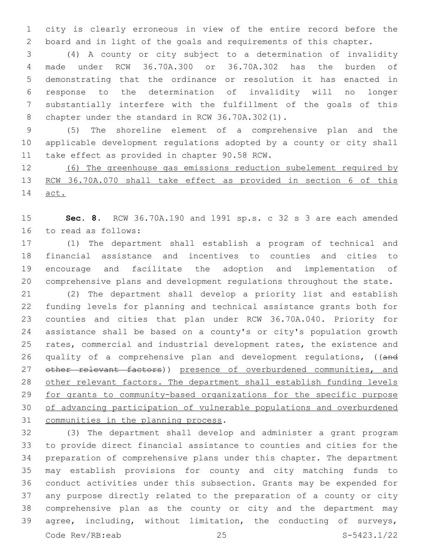city is clearly erroneous in view of the entire record before the board and in light of the goals and requirements of this chapter.

 (4) A county or city subject to a determination of invalidity made under RCW 36.70A.300 or 36.70A.302 has the burden of demonstrating that the ordinance or resolution it has enacted in response to the determination of invalidity will no longer substantially interfere with the fulfillment of the goals of this 8 chapter under the standard in RCW 36.70A.302(1).

 (5) The shoreline element of a comprehensive plan and the applicable development regulations adopted by a county or city shall 11 take effect as provided in chapter 90.58 RCW.

 (6) The greenhouse gas emissions reduction subelement required by RCW 36.70A.070 shall take effect as provided in section 6 of this act.

 **Sec. 8.** RCW 36.70A.190 and 1991 sp.s. c 32 s 3 are each amended 16 to read as follows:

 (1) The department shall establish a program of technical and financial assistance and incentives to counties and cities to encourage and facilitate the adoption and implementation of comprehensive plans and development regulations throughout the state.

 (2) The department shall develop a priority list and establish funding levels for planning and technical assistance grants both for counties and cities that plan under RCW 36.70A.040. Priority for assistance shall be based on a county's or city's population growth rates, commercial and industrial development rates, the existence and 26 quality of a comprehensive plan and development regulations, ((and 27 other relevant factors)) presence of overburdened communities, and other relevant factors. The department shall establish funding levels for grants to community-based organizations for the specific purpose of advancing participation of vulnerable populations and overburdened 31 communities in the planning process.

 (3) The department shall develop and administer a grant program to provide direct financial assistance to counties and cities for the preparation of comprehensive plans under this chapter. The department may establish provisions for county and city matching funds to conduct activities under this subsection. Grants may be expended for any purpose directly related to the preparation of a county or city comprehensive plan as the county or city and the department may agree, including, without limitation, the conducting of surveys, Code Rev/RB:eab 25 S-5423.1/22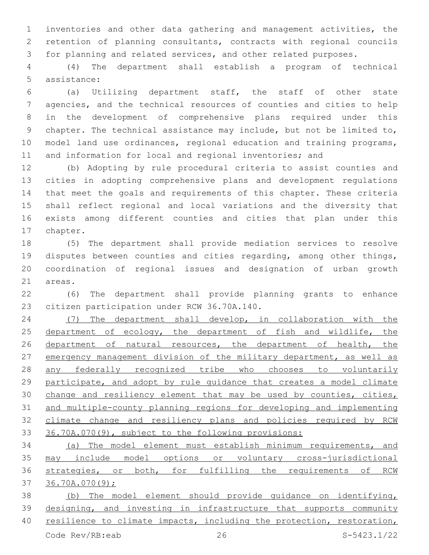inventories and other data gathering and management activities, the retention of planning consultants, contracts with regional councils for planning and related services, and other related purposes.

 (4) The department shall establish a program of technical 5 assistance:

 (a) Utilizing department staff, the staff of other state agencies, and the technical resources of counties and cities to help in the development of comprehensive plans required under this chapter. The technical assistance may include, but not be limited to, model land use ordinances, regional education and training programs, and information for local and regional inventories; and

 (b) Adopting by rule procedural criteria to assist counties and cities in adopting comprehensive plans and development regulations that meet the goals and requirements of this chapter. These criteria shall reflect regional and local variations and the diversity that exists among different counties and cities that plan under this 17 chapter.

 (5) The department shall provide mediation services to resolve disputes between counties and cities regarding, among other things, coordination of regional issues and designation of urban growth 21 areas.

 (6) The department shall provide planning grants to enhance 23 citizen participation under RCW 36.70A.140.

 (7) The department shall develop, in collaboration with the 25 department of ecology, the department of fish and wildlife, the 26 department of natural resources, the department of health, the 27 emergency management division of the military department, as well as 28 any federally recognized tribe who chooses to voluntarily participate, and adopt by rule guidance that creates a model climate 30 change and resiliency element that may be used by counties, cities, and multiple-county planning regions for developing and implementing climate change and resiliency plans and policies required by RCW 33 36.70A.070(9), subject to the following provisions:

 (a) The model element must establish minimum requirements, and may include model options or voluntary cross-jurisdictional strategies, or both, for fulfilling the requirements of RCW 36.70A.070(9);

 (b) The model element should provide guidance on identifying, designing, and investing in infrastructure that supports community resilience to climate impacts, including the protection, restoration,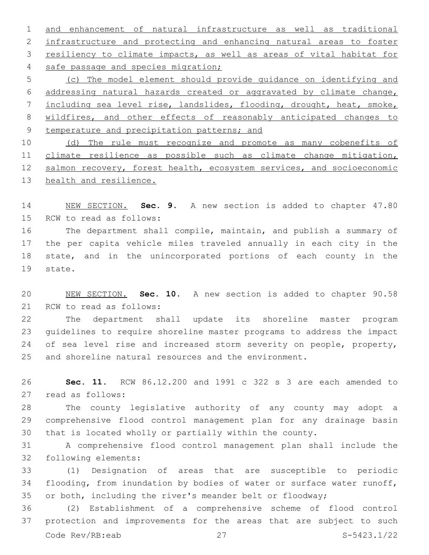and enhancement of natural infrastructure as well as traditional infrastructure and protecting and enhancing natural areas to foster resiliency to climate impacts, as well as areas of vital habitat for 4 safe passage and species migration;

 (c) The model element should provide guidance on identifying and addressing natural hazards created or aggravated by climate change, including sea level rise, landslides, flooding, drought, heat, smoke, wildfires, and other effects of reasonably anticipated changes to 9 temperature and precipitation patterns; and

 (d) The rule must recognize and promote as many cobenefits of 11 climate resilience as possible such as climate change mitigation, 12 salmon recovery, forest health, ecosystem services, and socioeconomic health and resilience.

 NEW SECTION. **Sec. 9.** A new section is added to chapter 47.80 15 RCW to read as follows:

 The department shall compile, maintain, and publish a summary of the per capita vehicle miles traveled annually in each city in the state, and in the unincorporated portions of each county in the 19 state.

 NEW SECTION. **Sec. 10.** A new section is added to chapter 90.58 21 RCW to read as follows:

 The department shall update its shoreline master program guidelines to require shoreline master programs to address the impact of sea level rise and increased storm severity on people, property, and shoreline natural resources and the environment.

 **Sec. 11.** RCW 86.12.200 and 1991 c 322 s 3 are each amended to 27 read as follows:

 The county legislative authority of any county may adopt a comprehensive flood control management plan for any drainage basin that is located wholly or partially within the county.

 A comprehensive flood control management plan shall include the 32 following elements:

 (1) Designation of areas that are susceptible to periodic flooding, from inundation by bodies of water or surface water runoff, or both, including the river's meander belt or floodway;

 (2) Establishment of a comprehensive scheme of flood control protection and improvements for the areas that are subject to such Code Rev/RB:eab 27 S-5423.1/22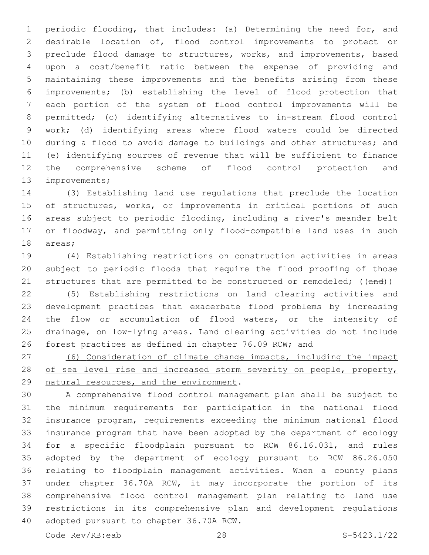periodic flooding, that includes: (a) Determining the need for, and desirable location of, flood control improvements to protect or preclude flood damage to structures, works, and improvements, based upon a cost/benefit ratio between the expense of providing and maintaining these improvements and the benefits arising from these improvements; (b) establishing the level of flood protection that each portion of the system of flood control improvements will be permitted; (c) identifying alternatives to in-stream flood control work; (d) identifying areas where flood waters could be directed during a flood to avoid damage to buildings and other structures; and (e) identifying sources of revenue that will be sufficient to finance the comprehensive scheme of flood control protection and 13 improvements;

 (3) Establishing land use regulations that preclude the location 15 of structures, works, or improvements in critical portions of such areas subject to periodic flooding, including a river's meander belt or floodway, and permitting only flood-compatible land uses in such 18 areas;

 (4) Establishing restrictions on construction activities in areas subject to periodic floods that require the flood proofing of those 21 structures that are permitted to be constructed or remodeled; ((and))

 (5) Establishing restrictions on land clearing activities and development practices that exacerbate flood problems by increasing the flow or accumulation of flood waters, or the intensity of drainage, on low-lying areas. Land clearing activities do not include 26 forest practices as defined in chapter 76.09 RCW; and

 (6) Consideration of climate change impacts, including the impact 28 of sea level rise and increased storm severity on people, property, 29 natural resources, and the environment.

 A comprehensive flood control management plan shall be subject to the minimum requirements for participation in the national flood insurance program, requirements exceeding the minimum national flood insurance program that have been adopted by the department of ecology for a specific floodplain pursuant to RCW 86.16.031, and rules adopted by the department of ecology pursuant to RCW 86.26.050 relating to floodplain management activities. When a county plans under chapter 36.70A RCW, it may incorporate the portion of its comprehensive flood control management plan relating to land use restrictions in its comprehensive plan and development regulations 40 adopted pursuant to chapter 36.70A RCW.

Code Rev/RB:eab 28 S-5423.1/22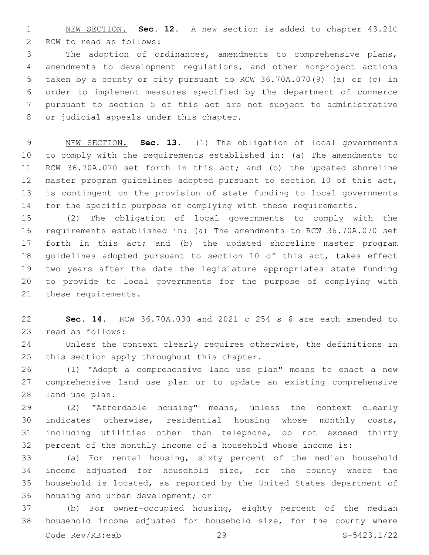NEW SECTION. **Sec. 12.** A new section is added to chapter 43.21C 2 RCW to read as follows:

 The adoption of ordinances, amendments to comprehensive plans, amendments to development regulations, and other nonproject actions taken by a county or city pursuant to RCW 36.70A.070(9) (a) or (c) in order to implement measures specified by the department of commerce pursuant to section 5 of this act are not subject to administrative 8 or judicial appeals under this chapter.

 NEW SECTION. **Sec. 13.** (1) The obligation of local governments to comply with the requirements established in: (a) The amendments to RCW 36.70A.070 set forth in this act; and (b) the updated shoreline master program guidelines adopted pursuant to section 10 of this act, is contingent on the provision of state funding to local governments for the specific purpose of complying with these requirements.

 (2) The obligation of local governments to comply with the requirements established in: (a) The amendments to RCW 36.70A.070 set 17 forth in this act; and (b) the updated shoreline master program guidelines adopted pursuant to section 10 of this act, takes effect two years after the date the legislature appropriates state funding to provide to local governments for the purpose of complying with 21 these requirements.

 **Sec. 14.** RCW 36.70A.030 and 2021 c 254 s 6 are each amended to 23 read as follows:

 Unless the context clearly requires otherwise, the definitions in 25 this section apply throughout this chapter.

 (1) "Adopt a comprehensive land use plan" means to enact a new comprehensive land use plan or to update an existing comprehensive 28 land use plan.

 (2) "Affordable housing" means, unless the context clearly indicates otherwise, residential housing whose monthly costs, including utilities other than telephone, do not exceed thirty percent of the monthly income of a household whose income is:

 (a) For rental housing, sixty percent of the median household income adjusted for household size, for the county where the household is located, as reported by the United States department of 36 housing and urban development; or

 (b) For owner-occupied housing, eighty percent of the median household income adjusted for household size, for the county where Code Rev/RB:eab 29 S-5423.1/22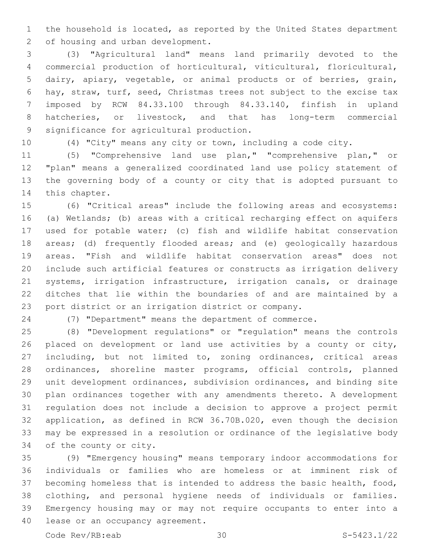the household is located, as reported by the United States department 2 of housing and urban development.

 (3) "Agricultural land" means land primarily devoted to the commercial production of horticultural, viticultural, floricultural, dairy, apiary, vegetable, or animal products or of berries, grain, hay, straw, turf, seed, Christmas trees not subject to the excise tax imposed by RCW 84.33.100 through 84.33.140, finfish in upland hatcheries, or livestock, and that has long-term commercial 9 significance for agricultural production.

(4) "City" means any city or town, including a code city.

 (5) "Comprehensive land use plan," "comprehensive plan," or "plan" means a generalized coordinated land use policy statement of the governing body of a county or city that is adopted pursuant to 14 this chapter.

 (6) "Critical areas" include the following areas and ecosystems: (a) Wetlands; (b) areas with a critical recharging effect on aquifers used for potable water; (c) fish and wildlife habitat conservation areas; (d) frequently flooded areas; and (e) geologically hazardous areas. "Fish and wildlife habitat conservation areas" does not include such artificial features or constructs as irrigation delivery systems, irrigation infrastructure, irrigation canals, or drainage ditches that lie within the boundaries of and are maintained by a port district or an irrigation district or company.

(7) "Department" means the department of commerce.

 (8) "Development regulations" or "regulation" means the controls 26 placed on development or land use activities by a county or city, including, but not limited to, zoning ordinances, critical areas ordinances, shoreline master programs, official controls, planned unit development ordinances, subdivision ordinances, and binding site plan ordinances together with any amendments thereto. A development regulation does not include a decision to approve a project permit application, as defined in RCW 36.70B.020, even though the decision may be expressed in a resolution or ordinance of the legislative body 34 of the county or city.

 (9) "Emergency housing" means temporary indoor accommodations for individuals or families who are homeless or at imminent risk of becoming homeless that is intended to address the basic health, food, clothing, and personal hygiene needs of individuals or families. Emergency housing may or may not require occupants to enter into a 40 lease or an occupancy agreement.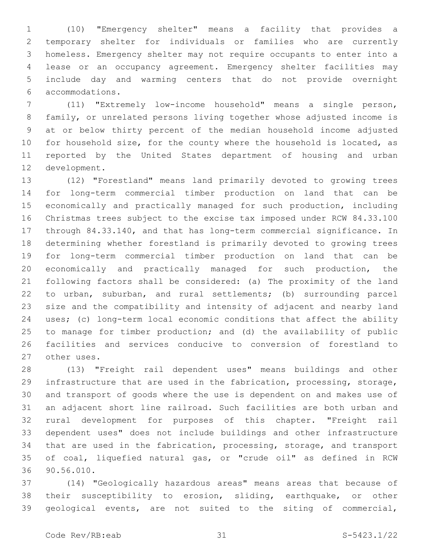(10) "Emergency shelter" means a facility that provides a temporary shelter for individuals or families who are currently homeless. Emergency shelter may not require occupants to enter into a lease or an occupancy agreement. Emergency shelter facilities may include day and warming centers that do not provide overnight accommodations.6

 (11) "Extremely low-income household" means a single person, family, or unrelated persons living together whose adjusted income is at or below thirty percent of the median household income adjusted for household size, for the county where the household is located, as reported by the United States department of housing and urban 12 development.

 (12) "Forestland" means land primarily devoted to growing trees for long-term commercial timber production on land that can be economically and practically managed for such production, including Christmas trees subject to the excise tax imposed under RCW 84.33.100 through 84.33.140, and that has long-term commercial significance. In determining whether forestland is primarily devoted to growing trees for long-term commercial timber production on land that can be economically and practically managed for such production, the following factors shall be considered: (a) The proximity of the land to urban, suburban, and rural settlements; (b) surrounding parcel size and the compatibility and intensity of adjacent and nearby land uses; (c) long-term local economic conditions that affect the ability to manage for timber production; and (d) the availability of public facilities and services conducive to conversion of forestland to 27 other uses.

 (13) "Freight rail dependent uses" means buildings and other infrastructure that are used in the fabrication, processing, storage, and transport of goods where the use is dependent on and makes use of an adjacent short line railroad. Such facilities are both urban and rural development for purposes of this chapter. "Freight rail dependent uses" does not include buildings and other infrastructure that are used in the fabrication, processing, storage, and transport of coal, liquefied natural gas, or "crude oil" as defined in RCW 90.56.010.36

 (14) "Geologically hazardous areas" means areas that because of their susceptibility to erosion, sliding, earthquake, or other geological events, are not suited to the siting of commercial,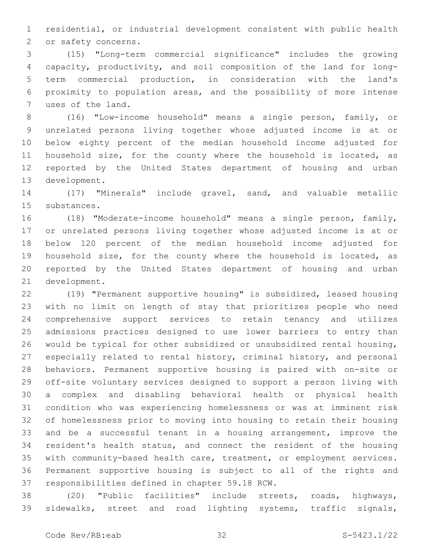residential, or industrial development consistent with public health 2 or safety concerns.

 (15) "Long-term commercial significance" includes the growing capacity, productivity, and soil composition of the land for long- term commercial production, in consideration with the land's proximity to population areas, and the possibility of more intense 7 uses of the land.

 (16) "Low-income household" means a single person, family, or unrelated persons living together whose adjusted income is at or below eighty percent of the median household income adjusted for household size, for the county where the household is located, as reported by the United States department of housing and urban 13 development.

 (17) "Minerals" include gravel, sand, and valuable metallic 15 substances.

 (18) "Moderate-income household" means a single person, family, or unrelated persons living together whose adjusted income is at or below 120 percent of the median household income adjusted for household size, for the county where the household is located, as reported by the United States department of housing and urban 21 development.

 (19) "Permanent supportive housing" is subsidized, leased housing with no limit on length of stay that prioritizes people who need comprehensive support services to retain tenancy and utilizes admissions practices designed to use lower barriers to entry than would be typical for other subsidized or unsubsidized rental housing, especially related to rental history, criminal history, and personal behaviors. Permanent supportive housing is paired with on-site or off-site voluntary services designed to support a person living with a complex and disabling behavioral health or physical health condition who was experiencing homelessness or was at imminent risk of homelessness prior to moving into housing to retain their housing and be a successful tenant in a housing arrangement, improve the resident's health status, and connect the resident of the housing with community-based health care, treatment, or employment services. Permanent supportive housing is subject to all of the rights and 37 responsibilities defined in chapter 59.18 RCW.

 (20) "Public facilities" include streets, roads, highways, sidewalks, street and road lighting systems, traffic signals,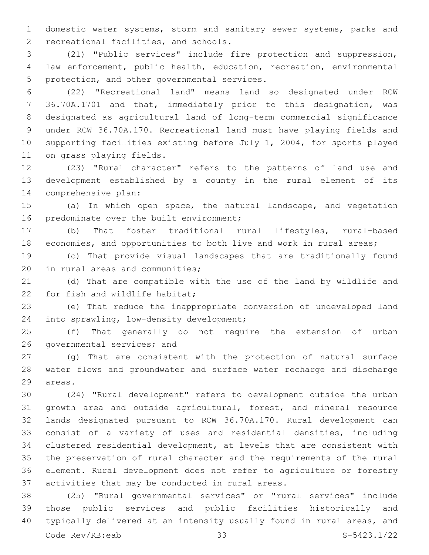domestic water systems, storm and sanitary sewer systems, parks and 2 recreational facilities, and schools.

 (21) "Public services" include fire protection and suppression, law enforcement, public health, education, recreation, environmental 5 protection, and other governmental services.

 (22) "Recreational land" means land so designated under RCW 36.70A.1701 and that, immediately prior to this designation, was designated as agricultural land of long-term commercial significance under RCW 36.70A.170. Recreational land must have playing fields and supporting facilities existing before July 1, 2004, for sports played 11 on grass playing fields.

 (23) "Rural character" refers to the patterns of land use and development established by a county in the rural element of its 14 comprehensive plan:

 (a) In which open space, the natural landscape, and vegetation 16 predominate over the built environment;

 (b) That foster traditional rural lifestyles, rural-based 18 economies, and opportunities to both live and work in rural areas;

 (c) That provide visual landscapes that are traditionally found 20 in rural areas and communities;

 (d) That are compatible with the use of the land by wildlife and 22 for fish and wildlife habitat;

 (e) That reduce the inappropriate conversion of undeveloped land 24 into sprawling, low-density development;

 (f) That generally do not require the extension of urban 26 governmental services; and

 (g) That are consistent with the protection of natural surface water flows and groundwater and surface water recharge and discharge 29 areas.

 (24) "Rural development" refers to development outside the urban growth area and outside agricultural, forest, and mineral resource lands designated pursuant to RCW 36.70A.170. Rural development can consist of a variety of uses and residential densities, including clustered residential development, at levels that are consistent with the preservation of rural character and the requirements of the rural element. Rural development does not refer to agriculture or forestry 37 activities that may be conducted in rural areas.

 (25) "Rural governmental services" or "rural services" include those public services and public facilities historically and typically delivered at an intensity usually found in rural areas, and  $\text{Code } \text{Rev}/\text{RB:}$ eab  $\text{33}$   $\text{S}-5423.1/22$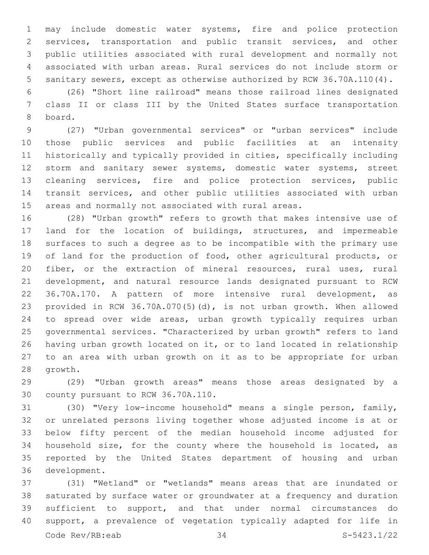may include domestic water systems, fire and police protection services, transportation and public transit services, and other public utilities associated with rural development and normally not associated with urban areas. Rural services do not include storm or sanitary sewers, except as otherwise authorized by RCW 36.70A.110(4).

 (26) "Short line railroad" means those railroad lines designated class II or class III by the United States surface transportation 8 board.

 (27) "Urban governmental services" or "urban services" include those public services and public facilities at an intensity historically and typically provided in cities, specifically including 12 storm and sanitary sewer systems, domestic water systems, street cleaning services, fire and police protection services, public transit services, and other public utilities associated with urban areas and normally not associated with rural areas.

 (28) "Urban growth" refers to growth that makes intensive use of land for the location of buildings, structures, and impermeable surfaces to such a degree as to be incompatible with the primary use of land for the production of food, other agricultural products, or fiber, or the extraction of mineral resources, rural uses, rural development, and natural resource lands designated pursuant to RCW 36.70A.170. A pattern of more intensive rural development, as provided in RCW 36.70A.070(5)(d), is not urban growth. When allowed to spread over wide areas, urban growth typically requires urban governmental services. "Characterized by urban growth" refers to land having urban growth located on it, or to land located in relationship to an area with urban growth on it as to be appropriate for urban 28 growth.

 (29) "Urban growth areas" means those areas designated by a 30 county pursuant to RCW 36.70A.110.

 (30) "Very low-income household" means a single person, family, or unrelated persons living together whose adjusted income is at or below fifty percent of the median household income adjusted for household size, for the county where the household is located, as reported by the United States department of housing and urban 36 development.

 (31) "Wetland" or "wetlands" means areas that are inundated or saturated by surface water or groundwater at a frequency and duration sufficient to support, and that under normal circumstances do support, a prevalence of vegetation typically adapted for life in Code Rev/RB:eab 34 S-5423.1/22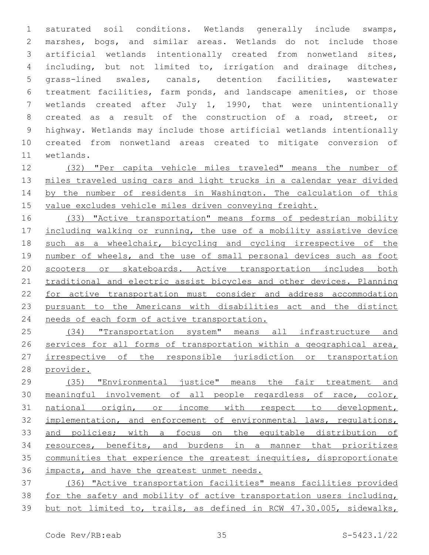saturated soil conditions. Wetlands generally include swamps, marshes, bogs, and similar areas. Wetlands do not include those artificial wetlands intentionally created from nonwetland sites, including, but not limited to, irrigation and drainage ditches, grass-lined swales, canals, detention facilities, wastewater treatment facilities, farm ponds, and landscape amenities, or those wetlands created after July 1, 1990, that were unintentionally created as a result of the construction of a road, street, or highway. Wetlands may include those artificial wetlands intentionally created from nonwetland areas created to mitigate conversion of 11 wetlands.

 (32) "Per capita vehicle miles traveled" means the number of miles traveled using cars and light trucks in a calendar year divided 14 by the number of residents in Washington. The calculation of this value excludes vehicle miles driven conveying freight.

 (33) "Active transportation" means forms of pedestrian mobility 17 including walking or running, the use of a mobility assistive device such as a wheelchair, bicycling and cycling irrespective of the 19 number of wheels, and the use of small personal devices such as foot scooters or skateboards. Active transportation includes both traditional and electric assist bicycles and other devices. Planning for active transportation must consider and address accommodation pursuant to the Americans with disabilities act and the distinct needs of each form of active transportation.

 (34) "Transportation system" means all infrastructure and services for all forms of transportation within a geographical area, irrespective of the responsible jurisdiction or transportation provider.

 (35) "Environmental justice" means the fair treatment and meaningful involvement of all people regardless of race, color, national origin, or income with respect to development, 32 implementation, and enforcement of environmental laws, regulations, and policies; with a focus on the equitable distribution of resources, benefits, and burdens in a manner that prioritizes communities that experience the greatest inequities, disproportionate impacts, and have the greatest unmet needs.

 (36) "Active transportation facilities" means facilities provided for the safety and mobility of active transportation users including, but not limited to, trails, as defined in RCW 47.30.005, sidewalks,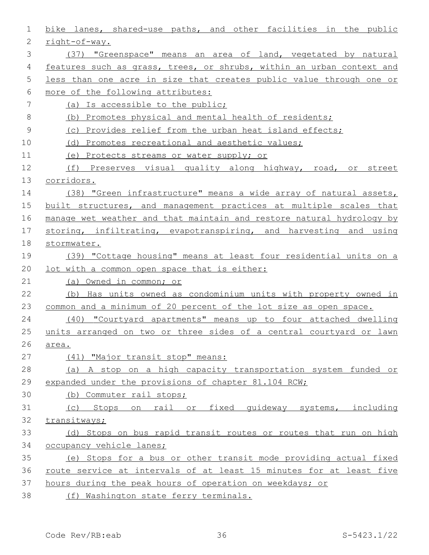| 1  | bike lanes, shared-use paths, and other facilities in the public      |  |  |  |
|----|-----------------------------------------------------------------------|--|--|--|
| 2  | right-of-way.                                                         |  |  |  |
| 3  | (37) "Greenspace" means an area of land, vegetated by natural         |  |  |  |
| 4  | features such as grass, trees, or shrubs, within an urban context and |  |  |  |
| 5  | less than one acre in size that creates public value through one or   |  |  |  |
| 6  | more of the following attributes:                                     |  |  |  |
| 7  | (a) Is accessible to the public;                                      |  |  |  |
| 8  | (b) Promotes physical and mental health of residents;                 |  |  |  |
| 9  | (c) Provides relief from the urban heat island effects;               |  |  |  |
| 10 | (d) Promotes recreational and aesthetic values;                       |  |  |  |
| 11 | (e) Protects streams or water supply; or                              |  |  |  |
| 12 | (f) Preserves visual quality along highway, road, or street           |  |  |  |
| 13 | corridors.                                                            |  |  |  |
| 14 | (38) "Green infrastructure" means a wide array of natural assets,     |  |  |  |
| 15 | built structures, and management practices at multiple scales that    |  |  |  |
| 16 | manage wet weather and that maintain and restore natural hydrology by |  |  |  |
| 17 | storing, infiltrating, evapotranspiring, and harvesting and using     |  |  |  |
| 18 | stormwater.                                                           |  |  |  |
| 19 | (39) "Cottage housing" means at least four residential units on a     |  |  |  |
| 20 | lot with a common open space that is either:                          |  |  |  |
| 21 | (a) Owned in common; or                                               |  |  |  |
| 22 | (b) Has units owned as condominium units with property owned in       |  |  |  |
| 23 | common and a minimum of 20 percent of the lot size as open space.     |  |  |  |
| 24 | (40) "Courtyard apartments" means up to four attached dwelling        |  |  |  |
| 25 | units arranged on two or three sides of a central courtyard or lawn   |  |  |  |
| 26 | area.                                                                 |  |  |  |
| 27 | (41) "Major transit stop" means:                                      |  |  |  |
| 28 | (a) A stop on a high capacity transportation system funded or         |  |  |  |
| 29 | expanded under the provisions of chapter 81.104 RCW;                  |  |  |  |
| 30 | (b) Commuter rail stops;                                              |  |  |  |
| 31 | (c) Stops on rail or fixed quideway systems, including                |  |  |  |
| 32 | transitways;                                                          |  |  |  |
| 33 | (d) Stops on bus rapid transit routes or routes that run on high      |  |  |  |
| 34 | occupancy vehicle lanes;                                              |  |  |  |
| 35 | (e) Stops for a bus or other transit mode providing actual fixed      |  |  |  |
| 36 | route service at intervals of at least 15 minutes for at least five   |  |  |  |
| 37 | hours during the peak hours of operation on weekdays; or              |  |  |  |
| 38 | (f) Washington state ferry terminals.                                 |  |  |  |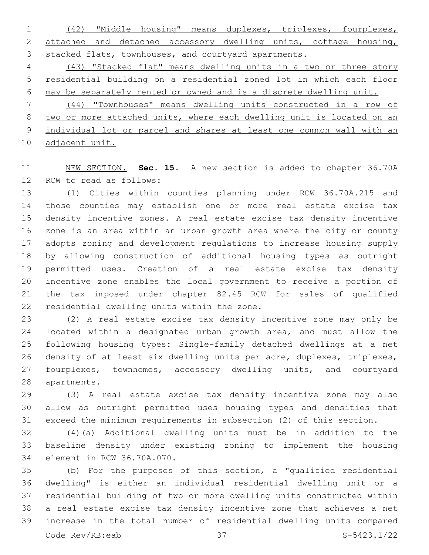(42) "Middle housing" means duplexes, triplexes, fourplexes, 2 attached and detached accessory dwelling units, cottage housing, stacked flats, townhouses, and courtyard apartments.

 (43) "Stacked flat" means dwelling units in a two or three story residential building on a residential zoned lot in which each floor may be separately rented or owned and is a discrete dwelling unit.

 (44) "Townhouses" means dwelling units constructed in a row of 8 two or more attached units, where each dwelling unit is located on an individual lot or parcel and shares at least one common wall with an adjacent unit.

 NEW SECTION. **Sec. 15.** A new section is added to chapter 36.70A 12 RCW to read as follows:

 (1) Cities within counties planning under RCW 36.70A.215 and those counties may establish one or more real estate excise tax density incentive zones. A real estate excise tax density incentive zone is an area within an urban growth area where the city or county adopts zoning and development regulations to increase housing supply by allowing construction of additional housing types as outright permitted uses. Creation of a real estate excise tax density incentive zone enables the local government to receive a portion of the tax imposed under chapter 82.45 RCW for sales of qualified 22 residential dwelling units within the zone.

 (2) A real estate excise tax density incentive zone may only be located within a designated urban growth area, and must allow the following housing types: Single-family detached dwellings at a net density of at least six dwelling units per acre, duplexes, triplexes, fourplexes, townhomes, accessory dwelling units, and courtyard 28 apartments.

 (3) A real estate excise tax density incentive zone may also allow as outright permitted uses housing types and densities that exceed the minimum requirements in subsection (2) of this section.

 (4)(a) Additional dwelling units must be in addition to the baseline density under existing zoning to implement the housing 34 element in RCW 36.70A.070.

 (b) For the purposes of this section, a "qualified residential dwelling" is either an individual residential dwelling unit or a residential building of two or more dwelling units constructed within a real estate excise tax density incentive zone that achieves a net increase in the total number of residential dwelling units compared Code Rev/RB:eab 37 S-5423.1/22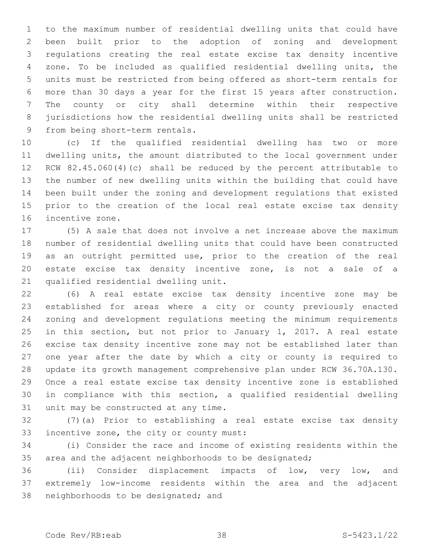to the maximum number of residential dwelling units that could have been built prior to the adoption of zoning and development regulations creating the real estate excise tax density incentive zone. To be included as qualified residential dwelling units, the units must be restricted from being offered as short-term rentals for more than 30 days a year for the first 15 years after construction. The county or city shall determine within their respective jurisdictions how the residential dwelling units shall be restricted 9 from being short-term rentals.

 (c) If the qualified residential dwelling has two or more dwelling units, the amount distributed to the local government under RCW 82.45.060(4)(c) shall be reduced by the percent attributable to the number of new dwelling units within the building that could have been built under the zoning and development regulations that existed prior to the creation of the local real estate excise tax density 16 incentive zone.

 (5) A sale that does not involve a net increase above the maximum number of residential dwelling units that could have been constructed as an outright permitted use, prior to the creation of the real estate excise tax density incentive zone, is not a sale of a 21 qualified residential dwelling unit.

 (6) A real estate excise tax density incentive zone may be established for areas where a city or county previously enacted zoning and development regulations meeting the minimum requirements in this section, but not prior to January 1, 2017. A real estate excise tax density incentive zone may not be established later than one year after the date by which a city or county is required to update its growth management comprehensive plan under RCW 36.70A.130. Once a real estate excise tax density incentive zone is established in compliance with this section, a qualified residential dwelling 31 unit may be constructed at any time.

 (7)(a) Prior to establishing a real estate excise tax density 33 incentive zone, the city or county must:

 (i) Consider the race and income of existing residents within the area and the adjacent neighborhoods to be designated;

 (ii) Consider displacement impacts of low, very low, and extremely low-income residents within the area and the adjacent 38 neighborhoods to be designated; and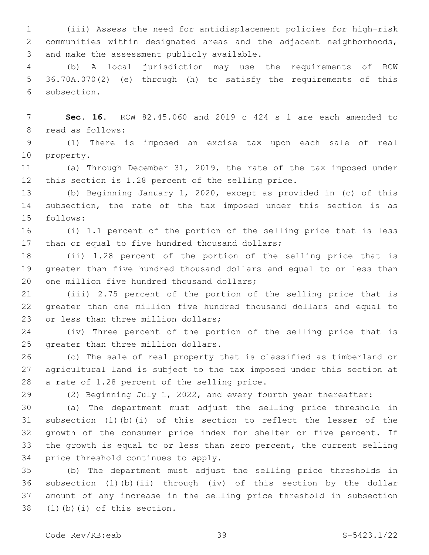(iii) Assess the need for antidisplacement policies for high-risk communities within designated areas and the adjacent neighborhoods, 3 and make the assessment publicly available.

 (b) A local jurisdiction may use the requirements of RCW 36.70A.070(2) (e) through (h) to satisfy the requirements of this 6 subsection.

 **Sec. 16.** RCW 82.45.060 and 2019 c 424 s 1 are each amended to 8 read as follows:

 (1) There is imposed an excise tax upon each sale of real 10 property.

 (a) Through December 31, 2019, the rate of the tax imposed under this section is 1.28 percent of the selling price.

 (b) Beginning January 1, 2020, except as provided in (c) of this subsection, the rate of the tax imposed under this section is as 15 follows:

 (i) 1.1 percent of the portion of the selling price that is less 17 than or equal to five hundred thousand dollars;

 (ii) 1.28 percent of the portion of the selling price that is greater than five hundred thousand dollars and equal to or less than 20 one million five hundred thousand dollars;

 (iii) 2.75 percent of the portion of the selling price that is greater than one million five hundred thousand dollars and equal to 23 or less than three million dollars;

 (iv) Three percent of the portion of the selling price that is 25 greater than three million dollars.

 (c) The sale of real property that is classified as timberland or agricultural land is subject to the tax imposed under this section at 28 a rate of  $1.28$  percent of the selling price.

(2) Beginning July 1, 2022, and every fourth year thereafter:

 (a) The department must adjust the selling price threshold in subsection (1)(b)(i) of this section to reflect the lesser of the growth of the consumer price index for shelter or five percent. If the growth is equal to or less than zero percent, the current selling 34 price threshold continues to apply.

 (b) The department must adjust the selling price thresholds in subsection (1)(b)(ii) through (iv) of this section by the dollar amount of any increase in the selling price threshold in subsection  $(1)(b)(i)$  of this section.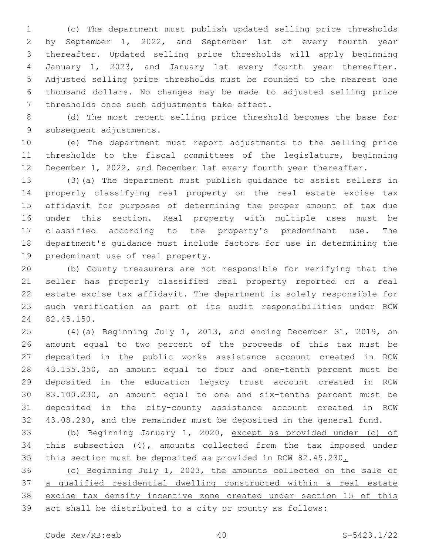(c) The department must publish updated selling price thresholds by September 1, 2022, and September 1st of every fourth year thereafter. Updated selling price thresholds will apply beginning January 1, 2023, and January 1st every fourth year thereafter. Adjusted selling price thresholds must be rounded to the nearest one thousand dollars. No changes may be made to adjusted selling price 7 thresholds once such adjustments take effect.

 (d) The most recent selling price threshold becomes the base for 9 subsequent adjustments.

 (e) The department must report adjustments to the selling price thresholds to the fiscal committees of the legislature, beginning 12 December 1, 2022, and December 1st every fourth year thereafter.

 (3)(a) The department must publish guidance to assist sellers in properly classifying real property on the real estate excise tax affidavit for purposes of determining the proper amount of tax due under this section. Real property with multiple uses must be classified according to the property's predominant use. The department's guidance must include factors for use in determining the 19 predominant use of real property.

 (b) County treasurers are not responsible for verifying that the seller has properly classified real property reported on a real estate excise tax affidavit. The department is solely responsible for such verification as part of its audit responsibilities under RCW 82.45.150.24

 (4)(a) Beginning July 1, 2013, and ending December 31, 2019, an amount equal to two percent of the proceeds of this tax must be deposited in the public works assistance account created in RCW 43.155.050, an amount equal to four and one-tenth percent must be deposited in the education legacy trust account created in RCW 83.100.230, an amount equal to one and six-tenths percent must be deposited in the city-county assistance account created in RCW 43.08.290, and the remainder must be deposited in the general fund.

 (b) Beginning January 1, 2020, except as provided under (c) of 34 this subsection (4), amounts collected from the tax imposed under 35 this section must be deposited as provided in RCW 82.45.230.

 (c) Beginning July 1, 2023, the amounts collected on the sale of a qualified residential dwelling constructed within a real estate excise tax density incentive zone created under section 15 of this act shall be distributed to a city or county as follows: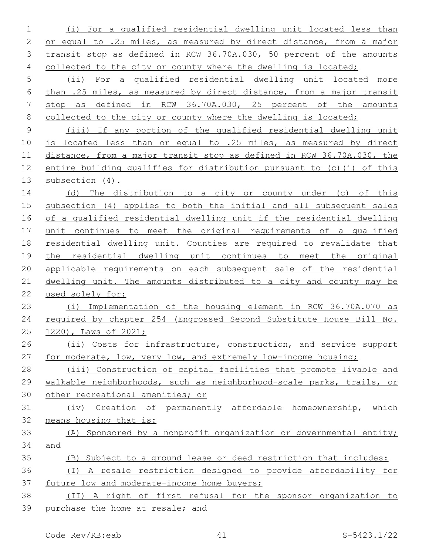| $\mathbf 1$ | (i) For a qualified residential dwelling unit located less than          |
|-------------|--------------------------------------------------------------------------|
| 2           | or equal to .25 miles, as measured by direct distance, from a major      |
| 3           | transit stop as defined in RCW 36.70A.030, 50 percent of the amounts     |
| 4           | collected to the city or county where the dwelling is located;           |
| 5           | (ii) For a qualified residential dwelling unit located more              |
| 6           | than .25 miles, as measured by direct distance, from a major transit     |
| 7           | stop as defined in RCW 36.70A.030, 25 percent of the amounts             |
| 8           | collected to the city or county where the dwelling is located;           |
| 9           | (iii) If any portion of the qualified residential dwelling unit          |
| 10          | is located less than or equal to .25 miles, as measured by direct        |
| 11          | distance, from a major transit stop as defined in RCW 36.70A.030, the    |
| 12          | entire building qualifies for distribution pursuant to $(c)$ (i) of this |
| 13          | subsection $(4)$ .                                                       |
| 14          | (d) The distribution to a city or county under (c) of this               |
| 15          | subsection (4) applies to both the initial and all subsequent sales      |
| 16          | of a qualified residential dwelling unit if the residential dwelling     |
| 17          | unit continues to meet the original requirements of a qualified          |
| 18          | residential dwelling unit. Counties are required to revalidate that      |
| 19          | the residential dwelling unit continues to meet the original             |
| 20          | applicable requirements on each subsequent sale of the residential       |
| 21          | dwelling unit. The amounts distributed to a city and county may be       |
| 22          | used solely for:                                                         |
| 23          | (i) Implementation of the housing element in RCW 36.70A.070 as           |
| 24          | required by chapter 254 (Engrossed Second Substitute House Bill No.      |
| 25          | 1220), Laws of 2021;                                                     |
| 26          | (ii) Costs for infrastructure, construction, and service support         |
| 27          | for moderate, low, very low, and extremely low-income housing;           |
| 28          | (iii) Construction of capital facilities that promote livable and        |
| 29          | walkable neighborhoods, such as neighborhood-scale parks, trails, or     |
| 30          | other recreational amenities; or                                         |
| 31          | (iv) Creation of permanently affordable homeownership, which             |
| 32          | means housing that is:                                                   |
| 33          | (A) Sponsored by a nonprofit organization or governmental entity;        |
| 34          | and                                                                      |
| 35          | (B) Subject to a ground lease or deed restriction that includes:         |
| 36          | (I) A resale restriction designed to provide affordability for           |
| 37          | future low and moderate-income home buyers;                              |
| 38          | (II) A right of first refusal for the sponsor organization to            |
| 39          | purchase the home at resale; and                                         |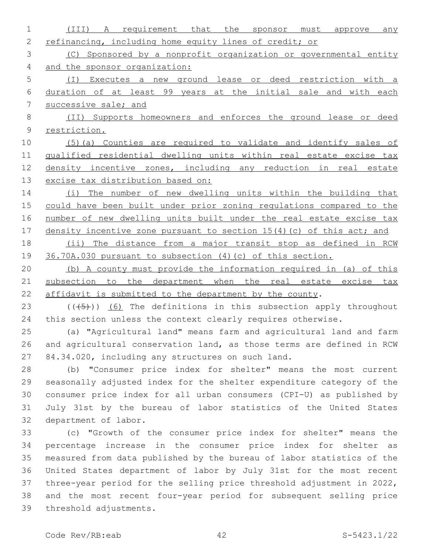| $\mathbf{2}$  | refinancing, including home equity lines of credit; or                  |
|---------------|-------------------------------------------------------------------------|
| 3             | (C) Sponsored by a nonprofit organization or governmental entity        |
| 4             | and the sponsor organization:                                           |
| 5             | (I) Executes a new ground lease or deed restriction with a              |
| 6             | duration of at least 99 years at the initial sale and with each         |
| 7             | successive sale; and                                                    |
| 8             | (II) Supports homeowners and enforces the ground lease or deed          |
| $\mathcal{G}$ | restriction.                                                            |
| 10            | (5) (a) Counties are required to validate and identify sales of         |
| 11            | qualified residential dwelling units within real estate excise tax      |
| 12            | density incentive zones, including any reduction in real estate         |
| 13            | excise tax distribution based on:                                       |
| 14            | (i) The number of new dwelling units within the building that           |
| 15            | could have been built under prior zoning regulations compared to the    |
| 16            | number of new dwelling units built under the real estate excise tax     |
| 17            | density incentive zone pursuant to section $15(4)$ (c) of this act; and |
| 18            | (ii) The distance from a major transit stop as defined in RCW           |
| 19            | 36.70A.030 pursuant to subsection (4) (c) of this section.              |
| 20            | (b) A county must provide the information required in (a) of this       |
| 21            | subsection to the department when the real estate excise tax            |
| 22            | affidavit is submitted to the department by the county.                 |
| 23            | $((+5))$ (6) The definitions in this subsection apply throughout        |
| 24            | this section unless the context clearly requires otherwise.             |
| 25            | (a) "Agricultural land" means farm and agricultural land and farm       |
| 26            | and agricultural conservation land, as those terms are defined in RCW   |
| 27            | 84.34.020, including any structures on such land.                       |
| 28            | (b) "Consumer price index for shelter" means the most current           |
| 29            | seasonally adjusted index for the shelter expenditure category of the   |
| 30            | consumer price index for all urban consumers (CPI-U) as published by    |
| 31            | July 31st by the bureau of labor statistics of the United States        |
| 32            | department of labor.                                                    |
| 33            | (c) "Growth of the consumer price index for shelter" means the          |
| 34            | percentage increase in the consumer price index for shelter as          |
| 35            | measured from data published by the bureau of labor statistics of the   |
| 36            | United States department of labor by July 31st for the most recent      |
| 37            | three-year period for the selling price threshold adjustment in 2022,   |
| 38            | and the most recent four-year period for subsequent selling price       |

(III) A requirement that the sponsor must approve any

39 threshold adjustments.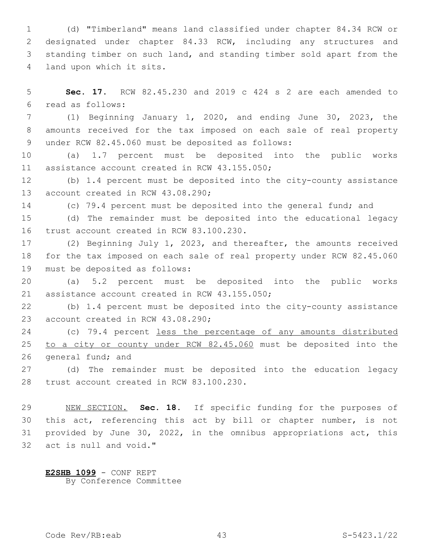(d) "Timberland" means land classified under chapter 84.34 RCW or designated under chapter 84.33 RCW, including any structures and standing timber on such land, and standing timber sold apart from the 4 land upon which it sits.

5 **Sec. 17.** RCW 82.45.230 and 2019 c 424 s 2 are each amended to read as follows:6

7 (1) Beginning January 1, 2020, and ending June 30, 2023, the 8 amounts received for the tax imposed on each sale of real property 9 under RCW 82.45.060 must be deposited as follows:

10 (a) 1.7 percent must be deposited into the public works 11 assistance account created in RCW 43.155.050;

12 (b) 1.4 percent must be deposited into the city-county assistance 13 account created in RCW 43.08.290;

14 (c) 79.4 percent must be deposited into the general fund; and

15 (d) The remainder must be deposited into the educational legacy 16 trust account created in RCW 83.100.230.

17 (2) Beginning July 1, 2023, and thereafter, the amounts received 18 for the tax imposed on each sale of real property under RCW 82.45.060 19 must be deposited as follows:

20 (a) 5.2 percent must be deposited into the public works 21 assistance account created in RCW 43.155.050;

22 (b) 1.4 percent must be deposited into the city-county assistance 23 account created in RCW 43.08.290;

24 (c) 79.4 percent less the percentage of any amounts distributed 25 to a city or county under RCW 82.45.060 must be deposited into the 26 general fund; and

27 (d) The remainder must be deposited into the education legacy 28 trust account created in RCW 83.100.230.

 NEW SECTION. **Sec. 18.** If specific funding for the purposes of this act, referencing this act by bill or chapter number, is not provided by June 30, 2022, in the omnibus appropriations act, this act is null and void."

**E2SHB 1099** - CONF REPT By Conference Committee